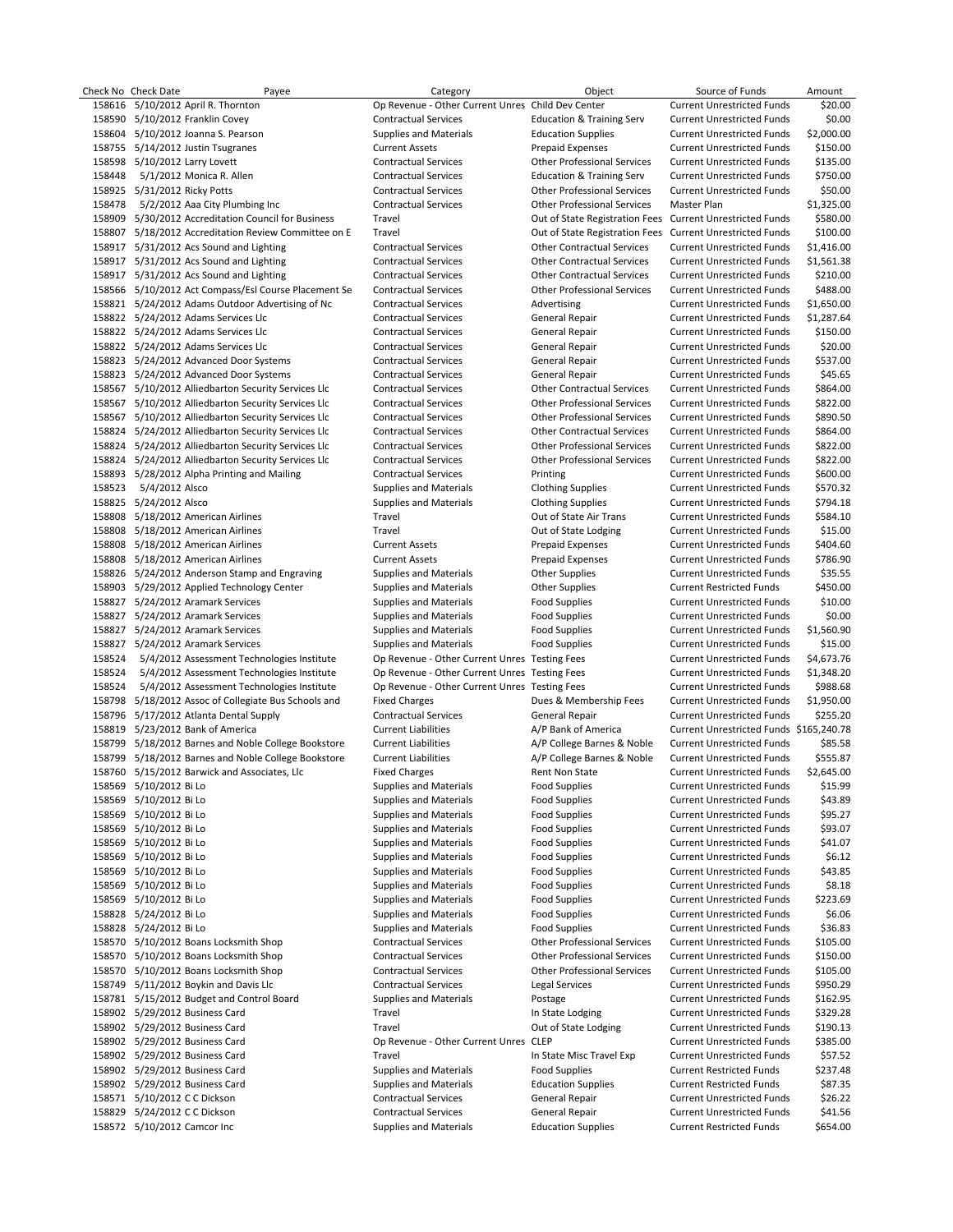|        | Check No Check Date           | Payee                                                | Category                                          | Object                               | Source of Funds                         | Amount     |
|--------|-------------------------------|------------------------------------------------------|---------------------------------------------------|--------------------------------------|-----------------------------------------|------------|
|        |                               | 158616 5/10/2012 April R. Thornton                   | Op Revenue - Other Current Unres Child Dev Center |                                      | <b>Current Unrestricted Funds</b>       | \$20.00    |
|        |                               | 158590 5/10/2012 Franklin Covey                      | <b>Contractual Services</b>                       | <b>Education &amp; Training Serv</b> | <b>Current Unrestricted Funds</b>       | \$0.00     |
|        |                               | 158604 5/10/2012 Joanna S. Pearson                   | <b>Supplies and Materials</b>                     | <b>Education Supplies</b>            | <b>Current Unrestricted Funds</b>       | \$2,000.00 |
|        |                               | 158755 5/14/2012 Justin Tsugranes                    | <b>Current Assets</b>                             | <b>Prepaid Expenses</b>              | <b>Current Unrestricted Funds</b>       | \$150.00   |
|        | 158598 5/10/2012 Larry Lovett |                                                      | <b>Contractual Services</b>                       | <b>Other Professional Services</b>   | <b>Current Unrestricted Funds</b>       | \$135.00   |
|        |                               |                                                      |                                                   |                                      |                                         |            |
| 158448 |                               | 5/1/2012 Monica R. Allen                             | <b>Contractual Services</b>                       | <b>Education &amp; Training Serv</b> | <b>Current Unrestricted Funds</b>       | \$750.00   |
|        | 158925 5/31/2012 Ricky Potts  |                                                      | <b>Contractual Services</b>                       | <b>Other Professional Services</b>   | <b>Current Unrestricted Funds</b>       | \$50.00    |
| 158478 |                               | 5/2/2012 Aaa City Plumbing Inc                       | <b>Contractual Services</b>                       | <b>Other Professional Services</b>   | Master Plan                             | \$1,325.00 |
|        |                               | 158909 5/30/2012 Accreditation Council for Business  | Travel                                            | Out of State Registration Fees       | <b>Current Unrestricted Funds</b>       | \$580.00   |
|        |                               | 158807 5/18/2012 Accreditation Review Committee on E | Travel                                            | Out of State Registration Fees       | <b>Current Unrestricted Funds</b>       | \$100.00   |
|        |                               | 158917 5/31/2012 Acs Sound and Lighting              | <b>Contractual Services</b>                       | <b>Other Contractual Services</b>    | <b>Current Unrestricted Funds</b>       | \$1,416.00 |
|        |                               |                                                      |                                                   |                                      |                                         |            |
|        |                               | 158917 5/31/2012 Acs Sound and Lighting              | <b>Contractual Services</b>                       | <b>Other Contractual Services</b>    | <b>Current Unrestricted Funds</b>       | \$1,561.38 |
|        |                               | 158917 5/31/2012 Acs Sound and Lighting              | <b>Contractual Services</b>                       | <b>Other Contractual Services</b>    | <b>Current Unrestricted Funds</b>       | \$210.00   |
|        |                               | 158566 5/10/2012 Act Compass/Esl Course Placement Se | <b>Contractual Services</b>                       | <b>Other Professional Services</b>   | <b>Current Unrestricted Funds</b>       | \$488.00   |
|        |                               | 158821 5/24/2012 Adams Outdoor Advertising of Nc     | <b>Contractual Services</b>                       | Advertising                          | <b>Current Unrestricted Funds</b>       | \$1,650.00 |
|        |                               | 158822 5/24/2012 Adams Services Llc                  | <b>Contractual Services</b>                       | General Repair                       | <b>Current Unrestricted Funds</b>       | \$1,287.64 |
|        |                               | 158822 5/24/2012 Adams Services Llc                  | <b>Contractual Services</b>                       | General Repair                       | <b>Current Unrestricted Funds</b>       | \$150.00   |
|        |                               | 158822 5/24/2012 Adams Services Llc                  | <b>Contractual Services</b>                       | General Repair                       | <b>Current Unrestricted Funds</b>       | \$20.00    |
|        |                               |                                                      |                                                   |                                      |                                         |            |
|        |                               | 158823 5/24/2012 Advanced Door Systems               | <b>Contractual Services</b>                       | General Repair                       | <b>Current Unrestricted Funds</b>       | \$537.00   |
|        |                               | 158823 5/24/2012 Advanced Door Systems               | <b>Contractual Services</b>                       | General Repair                       | <b>Current Unrestricted Funds</b>       | \$45.65    |
|        |                               | 158567 5/10/2012 Alliedbarton Security Services Llc  | <b>Contractual Services</b>                       | <b>Other Contractual Services</b>    | <b>Current Unrestricted Funds</b>       | \$864.00   |
|        |                               | 158567 5/10/2012 Alliedbarton Security Services Llc  | <b>Contractual Services</b>                       | <b>Other Professional Services</b>   | <b>Current Unrestricted Funds</b>       | \$822.00   |
|        |                               | 158567 5/10/2012 Alliedbarton Security Services Llc  | <b>Contractual Services</b>                       | <b>Other Professional Services</b>   | <b>Current Unrestricted Funds</b>       | \$890.50   |
|        |                               | 158824 5/24/2012 Alliedbarton Security Services Llc  | <b>Contractual Services</b>                       | <b>Other Contractual Services</b>    | <b>Current Unrestricted Funds</b>       | \$864.00   |
|        |                               |                                                      |                                                   |                                      |                                         |            |
|        |                               | 158824 5/24/2012 Alliedbarton Security Services Llc  | <b>Contractual Services</b>                       | <b>Other Professional Services</b>   | <b>Current Unrestricted Funds</b>       | \$822.00   |
|        |                               | 158824 5/24/2012 Alliedbarton Security Services Llc  | <b>Contractual Services</b>                       | <b>Other Professional Services</b>   | <b>Current Unrestricted Funds</b>       | \$822.00   |
|        |                               | 158893 5/28/2012 Alpha Printing and Mailing          | <b>Contractual Services</b>                       | Printing                             | <b>Current Unrestricted Funds</b>       | \$600.00   |
| 158523 | 5/4/2012 Alsco                |                                                      | <b>Supplies and Materials</b>                     | <b>Clothing Supplies</b>             | <b>Current Unrestricted Funds</b>       | \$570.32   |
|        | 158825 5/24/2012 Alsco        |                                                      | Supplies and Materials                            | <b>Clothing Supplies</b>             | <b>Current Unrestricted Funds</b>       | \$794.18   |
|        |                               | 158808 5/18/2012 American Airlines                   | Travel                                            | Out of State Air Trans               | <b>Current Unrestricted Funds</b>       | \$584.10   |
|        |                               | 158808 5/18/2012 American Airlines                   | Travel                                            | Out of State Lodging                 | <b>Current Unrestricted Funds</b>       | \$15.00    |
|        |                               |                                                      |                                                   |                                      |                                         |            |
|        |                               | 158808 5/18/2012 American Airlines                   | <b>Current Assets</b>                             | <b>Prepaid Expenses</b>              | <b>Current Unrestricted Funds</b>       | \$404.60   |
|        |                               | 158808 5/18/2012 American Airlines                   | <b>Current Assets</b>                             | <b>Prepaid Expenses</b>              | <b>Current Unrestricted Funds</b>       | \$786.90   |
|        |                               | 158826 5/24/2012 Anderson Stamp and Engraving        | Supplies and Materials                            | <b>Other Supplies</b>                | <b>Current Unrestricted Funds</b>       | \$35.55    |
|        |                               | 158903 5/29/2012 Applied Technology Center           | Supplies and Materials                            | <b>Other Supplies</b>                | <b>Current Restricted Funds</b>         | \$450.00   |
|        |                               | 158827 5/24/2012 Aramark Services                    | Supplies and Materials                            | <b>Food Supplies</b>                 | <b>Current Unrestricted Funds</b>       | \$10.00    |
|        |                               | 158827 5/24/2012 Aramark Services                    | Supplies and Materials                            | Food Supplies                        | <b>Current Unrestricted Funds</b>       | \$0.00     |
|        |                               |                                                      |                                                   |                                      |                                         |            |
|        |                               | 158827 5/24/2012 Aramark Services                    | <b>Supplies and Materials</b>                     | Food Supplies                        | <b>Current Unrestricted Funds</b>       | \$1,560.90 |
|        |                               | 158827 5/24/2012 Aramark Services                    | Supplies and Materials                            | <b>Food Supplies</b>                 | <b>Current Unrestricted Funds</b>       | \$15.00    |
| 158524 |                               | 5/4/2012 Assessment Technologies Institute           | Op Revenue - Other Current Unres Testing Fees     |                                      | <b>Current Unrestricted Funds</b>       | \$4,673.76 |
| 158524 |                               | 5/4/2012 Assessment Technologies Institute           | Op Revenue - Other Current Unres Testing Fees     |                                      | <b>Current Unrestricted Funds</b>       | \$1,348.20 |
| 158524 |                               | 5/4/2012 Assessment Technologies Institute           | Op Revenue - Other Current Unres Testing Fees     |                                      | <b>Current Unrestricted Funds</b>       | \$988.68   |
|        |                               | 158798 5/18/2012 Assoc of Collegiate Bus Schools and | <b>Fixed Charges</b>                              | Dues & Membership Fees               | <b>Current Unrestricted Funds</b>       | \$1,950.00 |
|        |                               | 158796 5/17/2012 Atlanta Dental Supply               | <b>Contractual Services</b>                       | General Repair                       | <b>Current Unrestricted Funds</b>       | \$255.20   |
|        |                               |                                                      |                                                   |                                      |                                         |            |
|        |                               | 158819 5/23/2012 Bank of America                     | <b>Current Liabilities</b>                        | A/P Bank of America                  | Current Unrestricted Funds \$165,240.78 |            |
|        |                               | 158799 5/18/2012 Barnes and Noble College Bookstore  | <b>Current Liabilities</b>                        | A/P College Barnes & Noble           | <b>Current Unrestricted Funds</b>       | \$85.58    |
|        |                               | 158799 5/18/2012 Barnes and Noble College Bookstore  | <b>Current Liabilities</b>                        | A/P College Barnes & Noble           | <b>Current Unrestricted Funds</b>       | \$555.87   |
|        |                               | 158760 5/15/2012 Barwick and Associates, Llc         | <b>Fixed Charges</b>                              | Rent Non State                       | <b>Current Unrestricted Funds</b>       | \$2,645.00 |
|        | 158569 5/10/2012 Bi Lo        |                                                      | Supplies and Materials                            | <b>Food Supplies</b>                 | <b>Current Unrestricted Funds</b>       | \$15.99    |
|        | 158569 5/10/2012 Bi Lo        |                                                      | <b>Supplies and Materials</b>                     | <b>Food Supplies</b>                 | <b>Current Unrestricted Funds</b>       | \$43.89    |
|        |                               |                                                      |                                                   |                                      |                                         |            |
|        | 158569 5/10/2012 Bi Lo        |                                                      | <b>Supplies and Materials</b>                     | <b>Food Supplies</b>                 | <b>Current Unrestricted Funds</b>       | \$95.27    |
|        | 158569 5/10/2012 Bi Lo        |                                                      | <b>Supplies and Materials</b>                     | <b>Food Supplies</b>                 | <b>Current Unrestricted Funds</b>       | \$93.07    |
|        | 158569 5/10/2012 Bi Lo        |                                                      | <b>Supplies and Materials</b>                     | <b>Food Supplies</b>                 | <b>Current Unrestricted Funds</b>       | \$41.07    |
|        | 158569 5/10/2012 Bi Lo        |                                                      | <b>Supplies and Materials</b>                     | <b>Food Supplies</b>                 | <b>Current Unrestricted Funds</b>       | \$6.12     |
|        | 158569 5/10/2012 Bi Lo        |                                                      | <b>Supplies and Materials</b>                     | <b>Food Supplies</b>                 | <b>Current Unrestricted Funds</b>       | \$43.85    |
|        | 158569 5/10/2012 Bi Lo        |                                                      | <b>Supplies and Materials</b>                     | <b>Food Supplies</b>                 | <b>Current Unrestricted Funds</b>       | \$8.18     |
|        | 158569 5/10/2012 Bi Lo        |                                                      | Supplies and Materials                            |                                      |                                         |            |
|        |                               |                                                      |                                                   | <b>Food Supplies</b>                 | <b>Current Unrestricted Funds</b>       | \$223.69   |
|        | 158828 5/24/2012 Bi Lo        |                                                      | <b>Supplies and Materials</b>                     | <b>Food Supplies</b>                 | <b>Current Unrestricted Funds</b>       | \$6.06     |
|        | 158828 5/24/2012 Bi Lo        |                                                      | <b>Supplies and Materials</b>                     | <b>Food Supplies</b>                 | <b>Current Unrestricted Funds</b>       | \$36.83    |
|        |                               | 158570 5/10/2012 Boans Locksmith Shop                | <b>Contractual Services</b>                       | <b>Other Professional Services</b>   | <b>Current Unrestricted Funds</b>       | \$105.00   |
|        |                               | 158570 5/10/2012 Boans Locksmith Shop                | <b>Contractual Services</b>                       | <b>Other Professional Services</b>   | <b>Current Unrestricted Funds</b>       | \$150.00   |
|        |                               | 158570 5/10/2012 Boans Locksmith Shop                | <b>Contractual Services</b>                       | <b>Other Professional Services</b>   | <b>Current Unrestricted Funds</b>       | \$105.00   |
|        |                               | 158749 5/11/2012 Boykin and Davis Llc                | <b>Contractual Services</b>                       | Legal Services                       | <b>Current Unrestricted Funds</b>       | \$950.29   |
|        |                               |                                                      |                                                   |                                      |                                         |            |
|        |                               | 158781 5/15/2012 Budget and Control Board            | <b>Supplies and Materials</b>                     | Postage                              | <b>Current Unrestricted Funds</b>       | \$162.95   |
|        |                               | 158902 5/29/2012 Business Card                       | Travel                                            | In State Lodging                     | <b>Current Unrestricted Funds</b>       | \$329.28   |
|        |                               | 158902 5/29/2012 Business Card                       | Travel                                            | Out of State Lodging                 | <b>Current Unrestricted Funds</b>       | \$190.13   |
|        |                               | 158902 5/29/2012 Business Card                       | Op Revenue - Other Current Unres CLEP             |                                      | <b>Current Unrestricted Funds</b>       | \$385.00   |
|        |                               | 158902 5/29/2012 Business Card                       | Travel                                            | In State Misc Travel Exp             | <b>Current Unrestricted Funds</b>       | \$57.52    |
|        |                               | 158902 5/29/2012 Business Card                       | <b>Supplies and Materials</b>                     | <b>Food Supplies</b>                 | <b>Current Restricted Funds</b>         | \$237.48   |
|        |                               |                                                      |                                                   |                                      |                                         |            |
|        |                               | 158902 5/29/2012 Business Card                       | <b>Supplies and Materials</b>                     | <b>Education Supplies</b>            | <b>Current Restricted Funds</b>         | \$87.35    |
|        | 158571 5/10/2012 C C Dickson  |                                                      | <b>Contractual Services</b>                       | General Repair                       | <b>Current Unrestricted Funds</b>       | \$26.22    |
|        | 158829 5/24/2012 C C Dickson  |                                                      | <b>Contractual Services</b>                       | General Repair                       | <b>Current Unrestricted Funds</b>       | \$41.56    |
|        | 158572 5/10/2012 Camcor Inc   |                                                      | <b>Supplies and Materials</b>                     | <b>Education Supplies</b>            | <b>Current Restricted Funds</b>         | \$654.00   |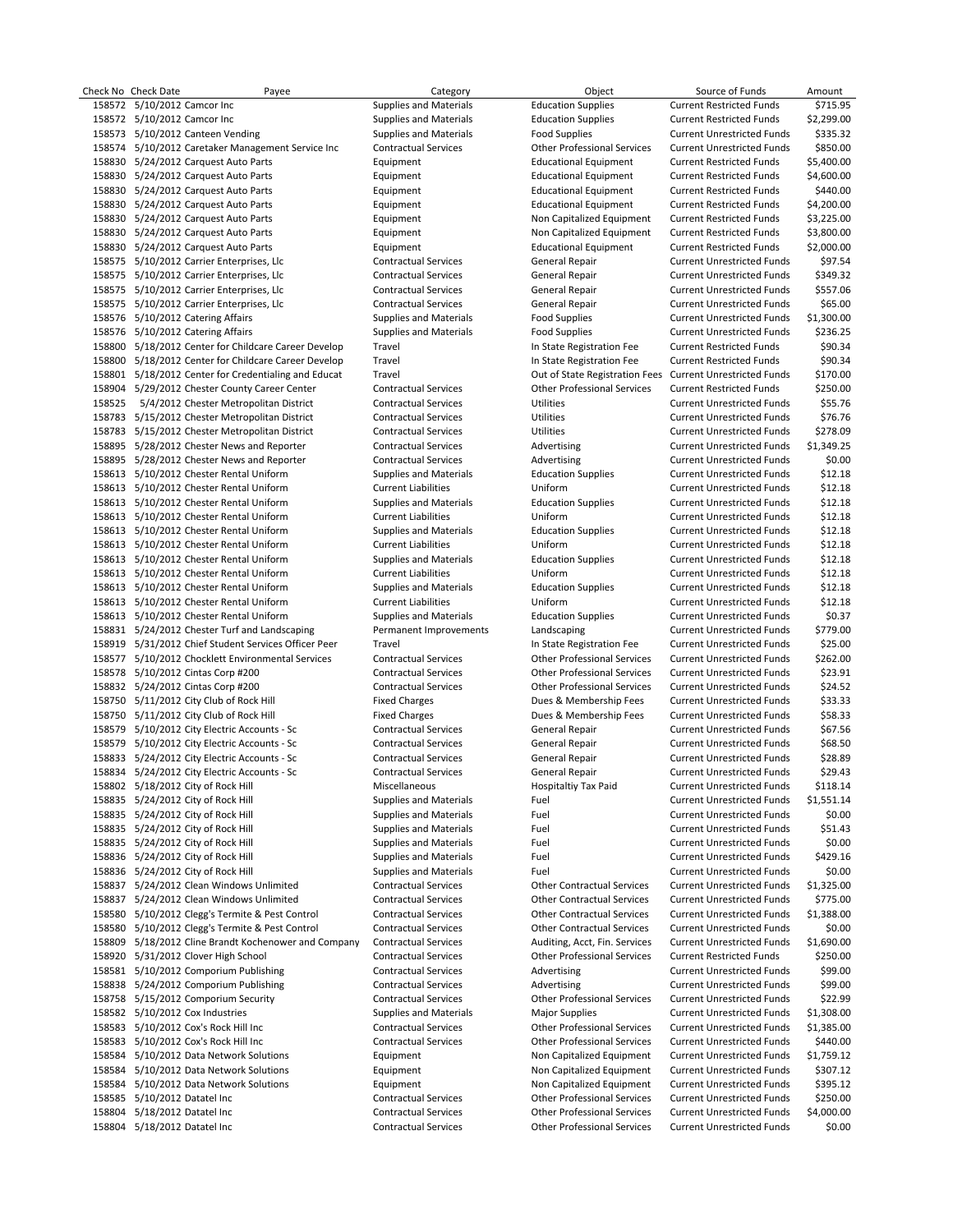|        | Check No Check Date          | Payee                                                | Category                                             | Object                                                    | Source of Funds                   | Amount              |
|--------|------------------------------|------------------------------------------------------|------------------------------------------------------|-----------------------------------------------------------|-----------------------------------|---------------------|
|        | 158572 5/10/2012 Camcor Inc  |                                                      | Supplies and Materials                               | <b>Education Supplies</b>                                 | <b>Current Restricted Funds</b>   | \$715.95            |
|        | 158572 5/10/2012 Camcor Inc  |                                                      | Supplies and Materials                               | <b>Education Supplies</b>                                 | <b>Current Restricted Funds</b>   | \$2,299.00          |
|        |                              | 158573 5/10/2012 Canteen Vending                     | <b>Supplies and Materials</b>                        | <b>Food Supplies</b>                                      | <b>Current Unrestricted Funds</b> | \$335.32            |
|        |                              | 158574 5/10/2012 Caretaker Management Service Inc    | <b>Contractual Services</b>                          | <b>Other Professional Services</b>                        | <b>Current Unrestricted Funds</b> | \$850.00            |
|        |                              | 158830 5/24/2012 Carquest Auto Parts                 | Equipment                                            | <b>Educational Equipment</b>                              | <b>Current Restricted Funds</b>   | \$5,400.00          |
|        |                              | 158830 5/24/2012 Carquest Auto Parts                 | Equipment                                            | <b>Educational Equipment</b>                              | <b>Current Restricted Funds</b>   | \$4,600.00          |
|        |                              | 158830 5/24/2012 Carquest Auto Parts                 | Equipment                                            | <b>Educational Equipment</b>                              | <b>Current Restricted Funds</b>   | \$440.00            |
|        |                              | 158830 5/24/2012 Carquest Auto Parts                 | Equipment                                            | <b>Educational Equipment</b>                              | <b>Current Restricted Funds</b>   | \$4,200.00          |
|        |                              | 158830 5/24/2012 Carquest Auto Parts                 | Equipment                                            | Non Capitalized Equipment                                 | <b>Current Restricted Funds</b>   | \$3,225.00          |
|        |                              | 158830 5/24/2012 Carquest Auto Parts                 | Equipment                                            | Non Capitalized Equipment                                 | <b>Current Restricted Funds</b>   | \$3,800.00          |
|        |                              | 158830 5/24/2012 Carquest Auto Parts                 | Equipment                                            | <b>Educational Equipment</b>                              | <b>Current Restricted Funds</b>   | \$2,000.00          |
|        |                              | 158575 5/10/2012 Carrier Enterprises, Llc            | <b>Contractual Services</b>                          | <b>General Repair</b>                                     | <b>Current Unrestricted Funds</b> | \$97.54             |
|        |                              | 158575 5/10/2012 Carrier Enterprises, Llc            | <b>Contractual Services</b>                          | General Repair                                            | <b>Current Unrestricted Funds</b> | \$349.32            |
|        |                              | 158575 5/10/2012 Carrier Enterprises, Llc            | <b>Contractual Services</b>                          | General Repair                                            | <b>Current Unrestricted Funds</b> | \$557.06            |
|        |                              | 158575 5/10/2012 Carrier Enterprises, Llc            | <b>Contractual Services</b>                          | General Repair                                            | <b>Current Unrestricted Funds</b> | \$65.00             |
|        |                              | 158576 5/10/2012 Catering Affairs                    | Supplies and Materials                               | <b>Food Supplies</b>                                      | <b>Current Unrestricted Funds</b> | \$1,300.00          |
|        |                              | 158576 5/10/2012 Catering Affairs                    | Supplies and Materials                               | <b>Food Supplies</b>                                      | <b>Current Unrestricted Funds</b> | \$236.25            |
|        |                              | 158800 5/18/2012 Center for Childcare Career Develop | Travel                                               | In State Registration Fee                                 | <b>Current Restricted Funds</b>   | \$90.34             |
|        |                              | 158800 5/18/2012 Center for Childcare Career Develop | Travel                                               | In State Registration Fee                                 | <b>Current Restricted Funds</b>   | \$90.34             |
|        |                              | 158801 5/18/2012 Center for Credentialing and Educat | Travel                                               | Out of State Registration Fees Current Unrestricted Funds |                                   | \$170.00            |
|        |                              | 158904 5/29/2012 Chester County Career Center        | <b>Contractual Services</b>                          | <b>Other Professional Services</b>                        | <b>Current Restricted Funds</b>   | \$250.00            |
| 158525 |                              | 5/4/2012 Chester Metropolitan District               | <b>Contractual Services</b>                          | Utilities                                                 | <b>Current Unrestricted Funds</b> | \$55.76             |
|        |                              | 158783 5/15/2012 Chester Metropolitan District       | <b>Contractual Services</b>                          | Utilities                                                 | <b>Current Unrestricted Funds</b> | \$76.76             |
|        |                              | 158783 5/15/2012 Chester Metropolitan District       | <b>Contractual Services</b>                          | Utilities                                                 | <b>Current Unrestricted Funds</b> | \$278.09            |
|        |                              | 158895 5/28/2012 Chester News and Reporter           | <b>Contractual Services</b>                          | Advertising                                               | <b>Current Unrestricted Funds</b> | \$1,349.25          |
|        |                              | 158895 5/28/2012 Chester News and Reporter           | <b>Contractual Services</b>                          | Advertising                                               | <b>Current Unrestricted Funds</b> | \$0.00              |
|        |                              | 158613 5/10/2012 Chester Rental Uniform              | Supplies and Materials                               | <b>Education Supplies</b>                                 | <b>Current Unrestricted Funds</b> | \$12.18             |
|        |                              | 158613 5/10/2012 Chester Rental Uniform              | <b>Current Liabilities</b>                           | Uniform                                                   | <b>Current Unrestricted Funds</b> | \$12.18             |
|        |                              | 158613 5/10/2012 Chester Rental Uniform              | Supplies and Materials                               | <b>Education Supplies</b>                                 | <b>Current Unrestricted Funds</b> | \$12.18             |
|        |                              | 158613 5/10/2012 Chester Rental Uniform              | <b>Current Liabilities</b>                           | Uniform                                                   | <b>Current Unrestricted Funds</b> | \$12.18             |
|        |                              | 158613 5/10/2012 Chester Rental Uniform              | Supplies and Materials                               | <b>Education Supplies</b>                                 | <b>Current Unrestricted Funds</b> | \$12.18             |
|        |                              | 158613 5/10/2012 Chester Rental Uniform              | <b>Current Liabilities</b>                           | Uniform                                                   | <b>Current Unrestricted Funds</b> | \$12.18             |
|        |                              | 158613 5/10/2012 Chester Rental Uniform              | Supplies and Materials                               | <b>Education Supplies</b>                                 | <b>Current Unrestricted Funds</b> | \$12.18             |
|        |                              | 158613 5/10/2012 Chester Rental Uniform              | <b>Current Liabilities</b>                           | Uniform                                                   | <b>Current Unrestricted Funds</b> | \$12.18             |
|        |                              | 158613 5/10/2012 Chester Rental Uniform              |                                                      |                                                           |                                   | \$12.18             |
|        |                              |                                                      | Supplies and Materials<br><b>Current Liabilities</b> | <b>Education Supplies</b><br>Uniform                      | <b>Current Unrestricted Funds</b> |                     |
|        |                              | 158613 5/10/2012 Chester Rental Uniform              |                                                      |                                                           | <b>Current Unrestricted Funds</b> | \$12.18<br>\$0.37   |
|        |                              | 158613 5/10/2012 Chester Rental Uniform              | Supplies and Materials                               | <b>Education Supplies</b>                                 | <b>Current Unrestricted Funds</b> |                     |
|        |                              | 158831 5/24/2012 Chester Turf and Landscaping        | Permanent Improvements                               | Landscaping                                               | <b>Current Unrestricted Funds</b> | \$779.00            |
|        |                              | 158919 5/31/2012 Chief Student Services Officer Peer | Travel                                               | In State Registration Fee                                 | <b>Current Unrestricted Funds</b> | \$25.00<br>\$262.00 |
|        |                              | 158577 5/10/2012 Chocklett Environmental Services    | <b>Contractual Services</b>                          | <b>Other Professional Services</b>                        | <b>Current Unrestricted Funds</b> |                     |
|        |                              | 158578 5/10/2012 Cintas Corp #200                    | <b>Contractual Services</b>                          | <b>Other Professional Services</b>                        | <b>Current Unrestricted Funds</b> | \$23.91             |
|        |                              | 158832 5/24/2012 Cintas Corp #200                    | <b>Contractual Services</b>                          | <b>Other Professional Services</b>                        | <b>Current Unrestricted Funds</b> | \$24.52             |
|        |                              | 158750 5/11/2012 City Club of Rock Hill              | <b>Fixed Charges</b>                                 | Dues & Membership Fees                                    | <b>Current Unrestricted Funds</b> | \$33.33             |
|        |                              | 158750 5/11/2012 City Club of Rock Hill              | <b>Fixed Charges</b>                                 | Dues & Membership Fees                                    | <b>Current Unrestricted Funds</b> | \$58.33             |
|        |                              | 158579 5/10/2012 City Electric Accounts - Sc         | <b>Contractual Services</b>                          | General Repair                                            | <b>Current Unrestricted Funds</b> | \$67.56             |
|        |                              | 158579 5/10/2012 City Electric Accounts - Sc         | <b>Contractual Services</b>                          | <b>General Repair</b>                                     | <b>Current Unrestricted Funds</b> | \$68.50             |
|        |                              | 158833 5/24/2012 City Electric Accounts - Sc         | <b>Contractual Services</b>                          | <b>General Repair</b>                                     | <b>Current Unrestricted Funds</b> | \$28.89             |
|        |                              | 158834 5/24/2012 City Electric Accounts - Sc         | <b>Contractual Services</b>                          | <b>General Repair</b>                                     | <b>Current Unrestricted Funds</b> | \$29.43             |
|        |                              | 158802 5/18/2012 City of Rock Hill                   | Miscellaneous                                        | Hospitaltiy Tax Paid                                      | Current Unrestricted Funds        | \$118.14            |
|        |                              | 158835 5/24/2012 City of Rock Hill                   | <b>Supplies and Materials</b>                        | Fuel                                                      | <b>Current Unrestricted Funds</b> | \$1,551.14          |
|        |                              | 158835 5/24/2012 City of Rock Hill                   | <b>Supplies and Materials</b>                        | Fuel                                                      | <b>Current Unrestricted Funds</b> | \$0.00              |
|        |                              | 158835 5/24/2012 City of Rock Hill                   | <b>Supplies and Materials</b>                        | Fuel                                                      | <b>Current Unrestricted Funds</b> | \$51.43             |
|        |                              | 158835 5/24/2012 City of Rock Hill                   | Supplies and Materials                               | Fuel                                                      | <b>Current Unrestricted Funds</b> | \$0.00              |
|        |                              | 158836 5/24/2012 City of Rock Hill                   | <b>Supplies and Materials</b>                        | Fuel                                                      | <b>Current Unrestricted Funds</b> | \$429.16            |
|        |                              | 158836 5/24/2012 City of Rock Hill                   | <b>Supplies and Materials</b>                        | Fuel                                                      | <b>Current Unrestricted Funds</b> | \$0.00              |
|        |                              | 158837 5/24/2012 Clean Windows Unlimited             | <b>Contractual Services</b>                          | <b>Other Contractual Services</b>                         | <b>Current Unrestricted Funds</b> | \$1,325.00          |
|        |                              | 158837 5/24/2012 Clean Windows Unlimited             | <b>Contractual Services</b>                          | <b>Other Contractual Services</b>                         | <b>Current Unrestricted Funds</b> | \$775.00            |
|        |                              | 158580 5/10/2012 Clegg's Termite & Pest Control      | <b>Contractual Services</b>                          | <b>Other Contractual Services</b>                         | <b>Current Unrestricted Funds</b> | \$1,388.00          |
|        |                              | 158580 5/10/2012 Clegg's Termite & Pest Control      | <b>Contractual Services</b>                          | <b>Other Contractual Services</b>                         | <b>Current Unrestricted Funds</b> | \$0.00              |
| 158809 |                              | 5/18/2012 Cline Brandt Kochenower and Company        | <b>Contractual Services</b>                          | Auditing, Acct, Fin. Services                             | <b>Current Unrestricted Funds</b> | \$1,690.00          |
|        |                              | 158920 5/31/2012 Clover High School                  | <b>Contractual Services</b>                          | <b>Other Professional Services</b>                        | <b>Current Restricted Funds</b>   | \$250.00            |
|        |                              | 158581 5/10/2012 Comporium Publishing                | <b>Contractual Services</b>                          | Advertising                                               | <b>Current Unrestricted Funds</b> | \$99.00             |
|        |                              | 158838 5/24/2012 Comporium Publishing                | <b>Contractual Services</b>                          | Advertising                                               | <b>Current Unrestricted Funds</b> | \$99.00             |
|        |                              | 158758 5/15/2012 Comporium Security                  | <b>Contractual Services</b>                          | <b>Other Professional Services</b>                        | <b>Current Unrestricted Funds</b> | \$22.99             |
|        |                              | 158582 5/10/2012 Cox Industries                      | Supplies and Materials                               | <b>Major Supplies</b>                                     | <b>Current Unrestricted Funds</b> | \$1,308.00          |
|        |                              | 158583 5/10/2012 Cox's Rock Hill Inc                 | <b>Contractual Services</b>                          | <b>Other Professional Services</b>                        | <b>Current Unrestricted Funds</b> | \$1,385.00          |
|        |                              | 158583 5/10/2012 Cox's Rock Hill Inc                 | <b>Contractual Services</b>                          | <b>Other Professional Services</b>                        | <b>Current Unrestricted Funds</b> | \$440.00            |
|        |                              | 158584 5/10/2012 Data Network Solutions              | Equipment                                            | Non Capitalized Equipment                                 | <b>Current Unrestricted Funds</b> | \$1,759.12          |
|        |                              | 158584 5/10/2012 Data Network Solutions              | Equipment                                            | Non Capitalized Equipment                                 | <b>Current Unrestricted Funds</b> | \$307.12            |
|        |                              | 158584 5/10/2012 Data Network Solutions              | Equipment                                            | Non Capitalized Equipment                                 | <b>Current Unrestricted Funds</b> | \$395.12            |
|        | 158585 5/10/2012 Datatel Inc |                                                      | <b>Contractual Services</b>                          | <b>Other Professional Services</b>                        | <b>Current Unrestricted Funds</b> | \$250.00            |
|        | 158804 5/18/2012 Datatel Inc |                                                      | <b>Contractual Services</b>                          | <b>Other Professional Services</b>                        | <b>Current Unrestricted Funds</b> | \$4,000.00          |
|        | 158804 5/18/2012 Datatel Inc |                                                      | <b>Contractual Services</b>                          | <b>Other Professional Services</b>                        | <b>Current Unrestricted Funds</b> | \$0.00              |
|        |                              |                                                      |                                                      |                                                           |                                   |                     |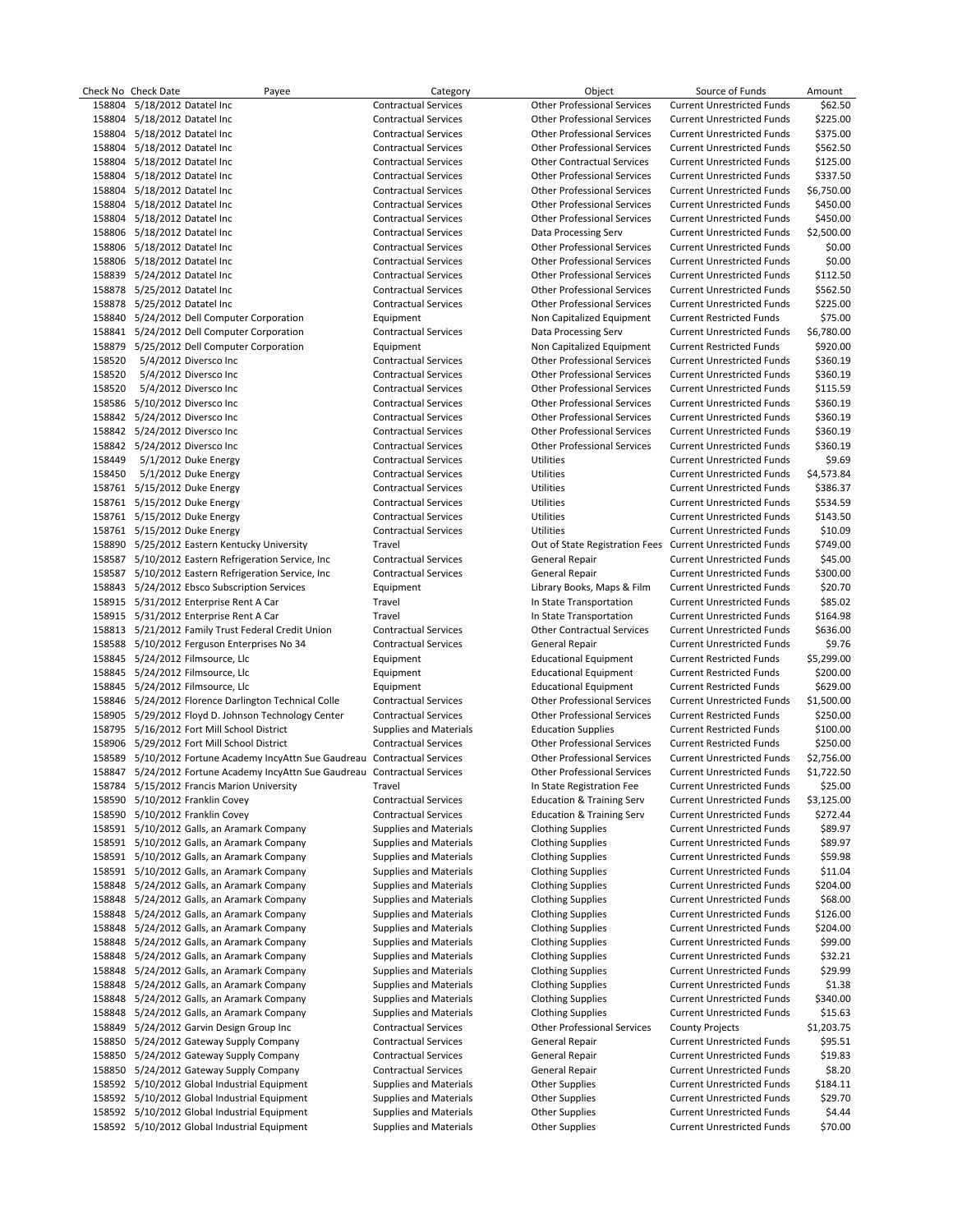|        | Check No Check Date           | Payee                                                                       | Category                      | Object                                                    | Source of Funds                   | Amount     |
|--------|-------------------------------|-----------------------------------------------------------------------------|-------------------------------|-----------------------------------------------------------|-----------------------------------|------------|
| 158804 | 5/18/2012 Datatel Inc         |                                                                             | <b>Contractual Services</b>   | <b>Other Professional Services</b>                        | <b>Current Unrestricted Funds</b> | \$62.50    |
|        | 158804 5/18/2012 Datatel Inc  |                                                                             | <b>Contractual Services</b>   | <b>Other Professional Services</b>                        | <b>Current Unrestricted Funds</b> | \$225.00   |
|        | 158804 5/18/2012 Datatel Inc  |                                                                             | <b>Contractual Services</b>   | <b>Other Professional Services</b>                        | <b>Current Unrestricted Funds</b> | \$375.00   |
|        | 158804 5/18/2012 Datatel Inc  |                                                                             | <b>Contractual Services</b>   | <b>Other Professional Services</b>                        | <b>Current Unrestricted Funds</b> | \$562.50   |
|        | 158804 5/18/2012 Datatel Inc  |                                                                             | <b>Contractual Services</b>   | <b>Other Contractual Services</b>                         | <b>Current Unrestricted Funds</b> | \$125.00   |
|        | 158804 5/18/2012 Datatel Inc  |                                                                             | <b>Contractual Services</b>   | <b>Other Professional Services</b>                        | <b>Current Unrestricted Funds</b> | \$337.50   |
|        | 158804 5/18/2012 Datatel Inc  |                                                                             | <b>Contractual Services</b>   | <b>Other Professional Services</b>                        | <b>Current Unrestricted Funds</b> | \$6,750.00 |
|        | 158804 5/18/2012 Datatel Inc  |                                                                             | <b>Contractual Services</b>   | <b>Other Professional Services</b>                        | <b>Current Unrestricted Funds</b> | \$450.00   |
|        | 158804 5/18/2012 Datatel Inc  |                                                                             | <b>Contractual Services</b>   | <b>Other Professional Services</b>                        | <b>Current Unrestricted Funds</b> | \$450.00   |
|        | 158806 5/18/2012 Datatel Inc  |                                                                             | <b>Contractual Services</b>   | Data Processing Serv                                      | <b>Current Unrestricted Funds</b> | \$2,500.00 |
|        |                               |                                                                             | <b>Contractual Services</b>   | <b>Other Professional Services</b>                        |                                   |            |
|        | 158806 5/18/2012 Datatel Inc  |                                                                             |                               |                                                           | <b>Current Unrestricted Funds</b> | \$0.00     |
|        | 158806 5/18/2012 Datatel Inc  |                                                                             | <b>Contractual Services</b>   | <b>Other Professional Services</b>                        | <b>Current Unrestricted Funds</b> | \$0.00     |
|        | 158839 5/24/2012 Datatel Inc  |                                                                             | <b>Contractual Services</b>   | <b>Other Professional Services</b>                        | <b>Current Unrestricted Funds</b> | \$112.50   |
|        | 158878 5/25/2012 Datatel Inc  |                                                                             | <b>Contractual Services</b>   | <b>Other Professional Services</b>                        | <b>Current Unrestricted Funds</b> | \$562.50   |
|        | 158878 5/25/2012 Datatel Inc  |                                                                             | <b>Contractual Services</b>   | <b>Other Professional Services</b>                        | <b>Current Unrestricted Funds</b> | \$225.00   |
|        |                               | 158840 5/24/2012 Dell Computer Corporation                                  | Equipment                     | Non Capitalized Equipment                                 | <b>Current Restricted Funds</b>   | \$75.00    |
|        |                               | 158841 5/24/2012 Dell Computer Corporation                                  | <b>Contractual Services</b>   | Data Processing Serv                                      | <b>Current Unrestricted Funds</b> | \$6,780.00 |
|        |                               | 158879 5/25/2012 Dell Computer Corporation                                  | Equipment                     | Non Capitalized Equipment                                 | <b>Current Restricted Funds</b>   | \$920.00   |
| 158520 | 5/4/2012 Diversco Inc         |                                                                             | <b>Contractual Services</b>   | <b>Other Professional Services</b>                        | <b>Current Unrestricted Funds</b> | \$360.19   |
| 158520 | 5/4/2012 Diversco Inc         |                                                                             | <b>Contractual Services</b>   | <b>Other Professional Services</b>                        | <b>Current Unrestricted Funds</b> | \$360.19   |
| 158520 | 5/4/2012 Diversco Inc         |                                                                             | <b>Contractual Services</b>   | <b>Other Professional Services</b>                        | <b>Current Unrestricted Funds</b> | \$115.59   |
|        | 158586 5/10/2012 Diversco Inc |                                                                             | <b>Contractual Services</b>   | <b>Other Professional Services</b>                        | <b>Current Unrestricted Funds</b> | \$360.19   |
|        | 158842 5/24/2012 Diversco Inc |                                                                             | <b>Contractual Services</b>   | <b>Other Professional Services</b>                        | <b>Current Unrestricted Funds</b> | \$360.19   |
|        | 158842 5/24/2012 Diversco Inc |                                                                             | <b>Contractual Services</b>   | <b>Other Professional Services</b>                        | <b>Current Unrestricted Funds</b> | \$360.19   |
|        | 158842 5/24/2012 Diversco Inc |                                                                             | <b>Contractual Services</b>   | <b>Other Professional Services</b>                        | <b>Current Unrestricted Funds</b> | \$360.19   |
|        |                               | 5/1/2012 Duke Energy                                                        |                               |                                                           |                                   |            |
| 158449 |                               |                                                                             | <b>Contractual Services</b>   | Utilities                                                 | <b>Current Unrestricted Funds</b> | \$9.69     |
| 158450 |                               | 5/1/2012 Duke Energy                                                        | <b>Contractual Services</b>   | Utilities                                                 | <b>Current Unrestricted Funds</b> | \$4,573.84 |
|        | 158761 5/15/2012 Duke Energy  |                                                                             | <b>Contractual Services</b>   | Utilities                                                 | <b>Current Unrestricted Funds</b> | \$386.37   |
|        | 158761 5/15/2012 Duke Energy  |                                                                             | <b>Contractual Services</b>   | Utilities                                                 | <b>Current Unrestricted Funds</b> | \$534.59   |
|        | 158761 5/15/2012 Duke Energy  |                                                                             | <b>Contractual Services</b>   | Utilities                                                 | <b>Current Unrestricted Funds</b> | \$143.50   |
|        | 158761 5/15/2012 Duke Energy  |                                                                             | <b>Contractual Services</b>   | Utilities                                                 | <b>Current Unrestricted Funds</b> | \$10.09    |
|        |                               | 158890 5/25/2012 Eastern Kentucky University                                | Travel                        | Out of State Registration Fees Current Unrestricted Funds |                                   | \$749.00   |
|        |                               | 158587 5/10/2012 Eastern Refrigeration Service, Inc.                        | <b>Contractual Services</b>   | General Repair                                            | <b>Current Unrestricted Funds</b> | \$45.00    |
|        |                               | 158587 5/10/2012 Eastern Refrigeration Service, Inc.                        | <b>Contractual Services</b>   | General Repair                                            | <b>Current Unrestricted Funds</b> | \$300.00   |
|        |                               | 158843 5/24/2012 Ebsco Subscription Services                                | Equipment                     | Library Books, Maps & Film                                | <b>Current Unrestricted Funds</b> | \$20.70    |
|        |                               | 158915 5/31/2012 Enterprise Rent A Car                                      | Travel                        | In State Transportation                                   | <b>Current Unrestricted Funds</b> | \$85.02    |
|        |                               | 158915 5/31/2012 Enterprise Rent A Car                                      | Travel                        | In State Transportation                                   | <b>Current Unrestricted Funds</b> | \$164.98   |
|        |                               | 158813 5/21/2012 Family Trust Federal Credit Union                          | <b>Contractual Services</b>   | <b>Other Contractual Services</b>                         | <b>Current Unrestricted Funds</b> | \$636.00   |
|        |                               | 158588 5/10/2012 Ferguson Enterprises No 34                                 | <b>Contractual Services</b>   | General Repair                                            | <b>Current Unrestricted Funds</b> | \$9.76     |
|        |                               | 158845 5/24/2012 Filmsource, Llc                                            | Equipment                     | <b>Educational Equipment</b>                              | <b>Current Restricted Funds</b>   | \$5,299.00 |
|        |                               |                                                                             |                               |                                                           |                                   |            |
|        |                               | 158845 5/24/2012 Filmsource, Llc                                            | Equipment                     | <b>Educational Equipment</b>                              | <b>Current Restricted Funds</b>   | \$200.00   |
|        |                               | 158845 5/24/2012 Filmsource, Llc                                            | Equipment                     | <b>Educational Equipment</b>                              | <b>Current Restricted Funds</b>   | \$629.00   |
|        |                               | 158846 5/24/2012 Florence Darlington Technical Colle                        | <b>Contractual Services</b>   | <b>Other Professional Services</b>                        | <b>Current Unrestricted Funds</b> | \$1,500.00 |
|        |                               | 158905 5/29/2012 Floyd D. Johnson Technology Center                         | <b>Contractual Services</b>   | <b>Other Professional Services</b>                        | <b>Current Restricted Funds</b>   | \$250.00   |
|        |                               | 158795 5/16/2012 Fort Mill School District                                  | Supplies and Materials        | <b>Education Supplies</b>                                 | <b>Current Restricted Funds</b>   | \$100.00   |
|        |                               | 158906 5/29/2012 Fort Mill School District                                  | <b>Contractual Services</b>   | <b>Other Professional Services</b>                        | <b>Current Restricted Funds</b>   | \$250.00   |
|        |                               | 158589 5/10/2012 Fortune Academy IncyAttn Sue Gaudreau Contractual Services |                               | <b>Other Professional Services</b>                        | <b>Current Unrestricted Funds</b> | \$2,756.00 |
|        |                               | 158847 5/24/2012 Fortune Academy IncyAttn Sue Gaudreau Contractual Services |                               | <b>Other Professional Services</b>                        | <b>Current Unrestricted Funds</b> | \$1,722.50 |
|        |                               | 158784 5/15/2012 Francis Marion University                                  | Travel                        | In State Registration Fee                                 | <b>Current Unrestricted Funds</b> | \$25.00    |
|        |                               | 158590 5/10/2012 Franklin Covey                                             | <b>Contractual Services</b>   | <b>Education &amp; Training Serv</b>                      | <b>Current Unrestricted Funds</b> | \$3,125.00 |
|        |                               | 158590 5/10/2012 Franklin Covey                                             | <b>Contractual Services</b>   | <b>Education &amp; Training Serv</b>                      | <b>Current Unrestricted Funds</b> | \$272.44   |
|        |                               | 158591 5/10/2012 Galls, an Aramark Company                                  | <b>Supplies and Materials</b> | <b>Clothing Supplies</b>                                  | <b>Current Unrestricted Funds</b> | \$89.97    |
|        |                               | 158591 5/10/2012 Galls, an Aramark Company                                  | Supplies and Materials        | <b>Clothing Supplies</b>                                  | <b>Current Unrestricted Funds</b> | \$89.97    |
|        |                               | 158591 5/10/2012 Galls, an Aramark Company                                  | Supplies and Materials        | <b>Clothing Supplies</b>                                  | <b>Current Unrestricted Funds</b> | \$59.98    |
|        |                               | 158591 5/10/2012 Galls, an Aramark Company                                  | Supplies and Materials        | <b>Clothing Supplies</b>                                  | <b>Current Unrestricted Funds</b> | \$11.04    |
| 158848 |                               |                                                                             |                               |                                                           |                                   |            |
|        |                               | 5/24/2012 Galls, an Aramark Company                                         | Supplies and Materials        | <b>Clothing Supplies</b>                                  | <b>Current Unrestricted Funds</b> | \$204.00   |
| 158848 |                               | 5/24/2012 Galls, an Aramark Company                                         | Supplies and Materials        | <b>Clothing Supplies</b>                                  | <b>Current Unrestricted Funds</b> | \$68.00    |
| 158848 |                               | 5/24/2012 Galls, an Aramark Company                                         | Supplies and Materials        | <b>Clothing Supplies</b>                                  | <b>Current Unrestricted Funds</b> | \$126.00   |
|        |                               | 158848 5/24/2012 Galls, an Aramark Company                                  | Supplies and Materials        | <b>Clothing Supplies</b>                                  | <b>Current Unrestricted Funds</b> | \$204.00   |
| 158848 |                               | 5/24/2012 Galls, an Aramark Company                                         | Supplies and Materials        | <b>Clothing Supplies</b>                                  | <b>Current Unrestricted Funds</b> | \$99.00    |
| 158848 |                               | 5/24/2012 Galls, an Aramark Company                                         | Supplies and Materials        | <b>Clothing Supplies</b>                                  | <b>Current Unrestricted Funds</b> | \$32.21    |
| 158848 |                               | 5/24/2012 Galls, an Aramark Company                                         | Supplies and Materials        | <b>Clothing Supplies</b>                                  | <b>Current Unrestricted Funds</b> | \$29.99    |
|        |                               | 158848 5/24/2012 Galls, an Aramark Company                                  | <b>Supplies and Materials</b> | <b>Clothing Supplies</b>                                  | <b>Current Unrestricted Funds</b> | \$1.38     |
|        |                               | 158848 5/24/2012 Galls, an Aramark Company                                  | Supplies and Materials        | <b>Clothing Supplies</b>                                  | <b>Current Unrestricted Funds</b> | \$340.00   |
|        |                               | 158848 5/24/2012 Galls, an Aramark Company                                  | Supplies and Materials        | <b>Clothing Supplies</b>                                  | <b>Current Unrestricted Funds</b> | \$15.63    |
| 158849 |                               | 5/24/2012 Garvin Design Group Inc                                           | <b>Contractual Services</b>   | <b>Other Professional Services</b>                        | <b>County Projects</b>            | \$1,203.75 |
|        |                               | 158850 5/24/2012 Gateway Supply Company                                     | <b>Contractual Services</b>   | General Repair                                            | <b>Current Unrestricted Funds</b> | \$95.51    |
|        |                               |                                                                             |                               |                                                           |                                   |            |
| 158850 |                               | 5/24/2012 Gateway Supply Company                                            | <b>Contractual Services</b>   | General Repair                                            | <b>Current Unrestricted Funds</b> | \$19.83    |
|        |                               | 158850 5/24/2012 Gateway Supply Company                                     | <b>Contractual Services</b>   | General Repair                                            | <b>Current Unrestricted Funds</b> | \$8.20     |
|        |                               | 158592 5/10/2012 Global Industrial Equipment                                | Supplies and Materials        | <b>Other Supplies</b>                                     | <b>Current Unrestricted Funds</b> | \$184.11   |
|        |                               | 158592 5/10/2012 Global Industrial Equipment                                | Supplies and Materials        | <b>Other Supplies</b>                                     | <b>Current Unrestricted Funds</b> | \$29.70    |
|        |                               | 158592 5/10/2012 Global Industrial Equipment                                | Supplies and Materials        | <b>Other Supplies</b>                                     | <b>Current Unrestricted Funds</b> | \$4.44     |
|        |                               | 158592 5/10/2012 Global Industrial Equipment                                | <b>Supplies and Materials</b> | <b>Other Supplies</b>                                     | <b>Current Unrestricted Funds</b> | \$70.00    |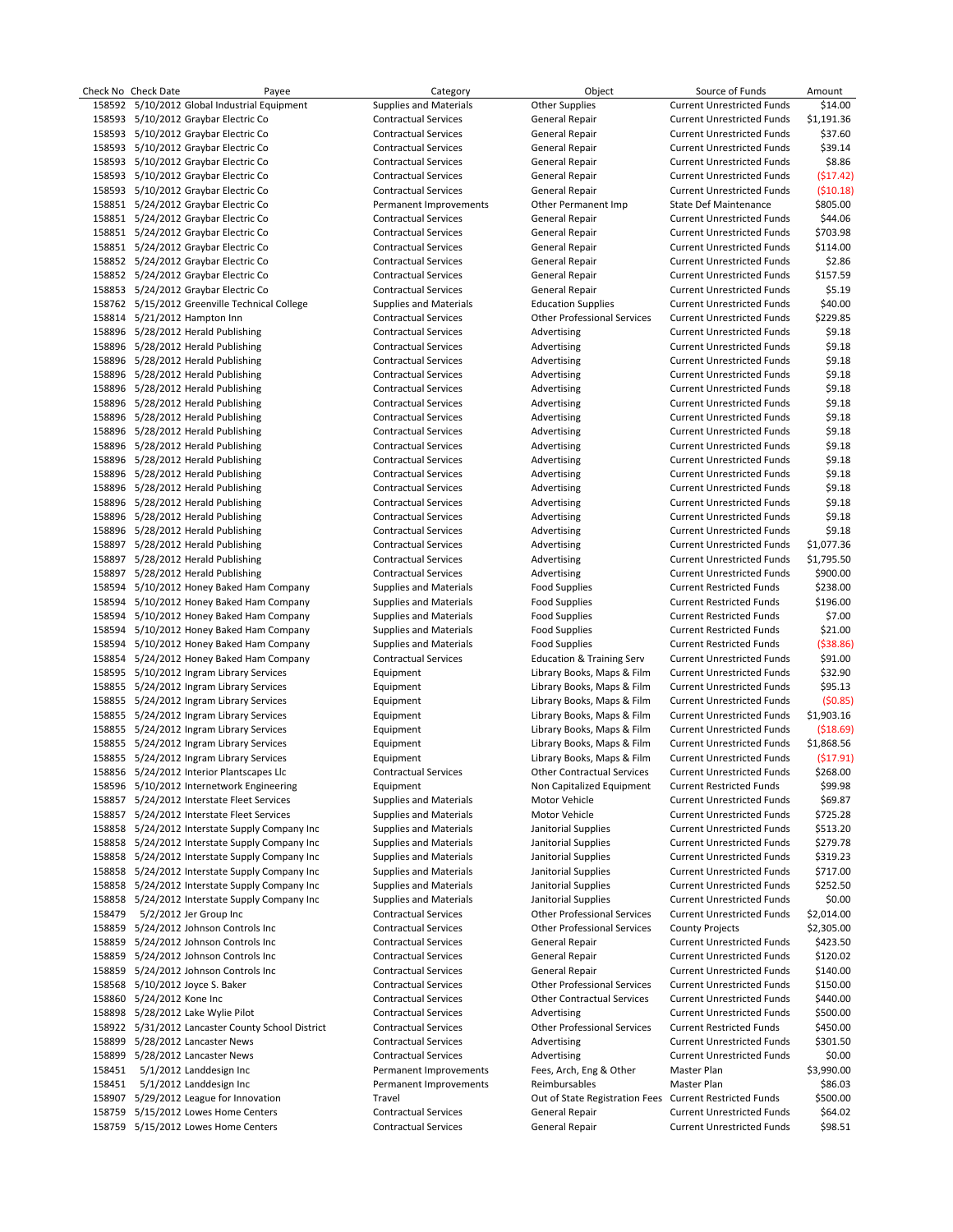|        | Check No Check Date          | Payee                                             | Category                                   | Object                                     | Source of Funds                                                        | Amount                   |
|--------|------------------------------|---------------------------------------------------|--------------------------------------------|--------------------------------------------|------------------------------------------------------------------------|--------------------------|
|        |                              | 158592 5/10/2012 Global Industrial Equipment      | <b>Supplies and Materials</b>              | <b>Other Supplies</b>                      | <b>Current Unrestricted Funds</b>                                      | \$14.00                  |
|        |                              | 158593 5/10/2012 Graybar Electric Co              | <b>Contractual Services</b>                | General Repair                             | <b>Current Unrestricted Funds</b>                                      | \$1,191.36               |
|        |                              | 158593 5/10/2012 Graybar Electric Co              | <b>Contractual Services</b>                | General Repair                             | <b>Current Unrestricted Funds</b>                                      | \$37.60                  |
|        |                              | 158593 5/10/2012 Graybar Electric Co              | <b>Contractual Services</b>                | <b>General Repair</b>                      | <b>Current Unrestricted Funds</b>                                      | \$39.14                  |
|        |                              | 158593 5/10/2012 Graybar Electric Co              | <b>Contractual Services</b>                | <b>General Repair</b>                      | <b>Current Unrestricted Funds</b>                                      | \$8.86                   |
|        |                              | 158593 5/10/2012 Graybar Electric Co              | <b>Contractual Services</b>                | General Repair                             | <b>Current Unrestricted Funds</b>                                      | (517.42)                 |
|        |                              | 158593 5/10/2012 Graybar Electric Co              | <b>Contractual Services</b>                | General Repair                             | <b>Current Unrestricted Funds</b>                                      | (510.18)                 |
|        |                              | 158851 5/24/2012 Graybar Electric Co              | Permanent Improvements                     | Other Permanent Imp                        | <b>State Def Maintenance</b>                                           | \$805.00                 |
|        |                              | 158851 5/24/2012 Graybar Electric Co              | <b>Contractual Services</b>                | General Repair                             | <b>Current Unrestricted Funds</b>                                      | \$44.06                  |
|        |                              | 158851 5/24/2012 Graybar Electric Co              | <b>Contractual Services</b>                | General Repair                             | <b>Current Unrestricted Funds</b>                                      | \$703.98                 |
|        |                              | 158851 5/24/2012 Graybar Electric Co              | <b>Contractual Services</b>                | General Repair                             | <b>Current Unrestricted Funds</b>                                      | \$114.00                 |
|        |                              | 158852 5/24/2012 Graybar Electric Co              | <b>Contractual Services</b>                | General Repair                             | <b>Current Unrestricted Funds</b>                                      | \$2.86                   |
|        |                              | 158852 5/24/2012 Graybar Electric Co              | <b>Contractual Services</b>                | General Repair                             | <b>Current Unrestricted Funds</b>                                      | \$157.59                 |
|        |                              | 158853 5/24/2012 Graybar Electric Co              | <b>Contractual Services</b>                | General Repair                             | <b>Current Unrestricted Funds</b>                                      | \$5.19                   |
|        |                              | 158762 5/15/2012 Greenville Technical College     | <b>Supplies and Materials</b>              | <b>Education Supplies</b>                  | <b>Current Unrestricted Funds</b>                                      | \$40.00                  |
|        | 158814 5/21/2012 Hampton Inn |                                                   | <b>Contractual Services</b>                | <b>Other Professional Services</b>         | <b>Current Unrestricted Funds</b>                                      | \$229.85                 |
|        |                              | 158896 5/28/2012 Herald Publishing                | <b>Contractual Services</b>                | Advertising                                | <b>Current Unrestricted Funds</b>                                      | \$9.18                   |
|        |                              | 158896 5/28/2012 Herald Publishing                | <b>Contractual Services</b>                | Advertising                                | <b>Current Unrestricted Funds</b>                                      | \$9.18                   |
|        |                              | 158896 5/28/2012 Herald Publishing                | <b>Contractual Services</b>                | Advertising                                | <b>Current Unrestricted Funds</b>                                      | \$9.18                   |
|        |                              | 158896 5/28/2012 Herald Publishing                | <b>Contractual Services</b>                | Advertising                                | <b>Current Unrestricted Funds</b>                                      | \$9.18                   |
|        |                              | 158896 5/28/2012 Herald Publishing                | <b>Contractual Services</b>                | Advertising                                | <b>Current Unrestricted Funds</b>                                      | \$9.18                   |
|        |                              | 158896 5/28/2012 Herald Publishing                | <b>Contractual Services</b>                | Advertising                                | <b>Current Unrestricted Funds</b>                                      | \$9.18                   |
|        |                              | 158896 5/28/2012 Herald Publishing                | <b>Contractual Services</b>                | Advertising                                | <b>Current Unrestricted Funds</b>                                      | \$9.18                   |
|        |                              | 158896 5/28/2012 Herald Publishing                | <b>Contractual Services</b>                | Advertising                                | <b>Current Unrestricted Funds</b>                                      | \$9.18                   |
|        |                              | 158896 5/28/2012 Herald Publishing                | <b>Contractual Services</b>                | Advertising                                | <b>Current Unrestricted Funds</b>                                      | \$9.18                   |
|        |                              | 158896 5/28/2012 Herald Publishing                | <b>Contractual Services</b>                | Advertising                                | <b>Current Unrestricted Funds</b>                                      | \$9.18                   |
|        |                              | 158896 5/28/2012 Herald Publishing                | <b>Contractual Services</b>                | Advertising                                | <b>Current Unrestricted Funds</b>                                      | \$9.18                   |
|        |                              | 158896 5/28/2012 Herald Publishing                | <b>Contractual Services</b>                | Advertising                                | <b>Current Unrestricted Funds</b>                                      | \$9.18                   |
|        |                              | 158896 5/28/2012 Herald Publishing                | <b>Contractual Services</b>                | Advertising                                | <b>Current Unrestricted Funds</b>                                      | \$9.18                   |
|        |                              | 158896 5/28/2012 Herald Publishing                | <b>Contractual Services</b>                | Advertising                                | <b>Current Unrestricted Funds</b>                                      | \$9.18                   |
|        |                              | 158896 5/28/2012 Herald Publishing                | <b>Contractual Services</b>                | Advertising                                | <b>Current Unrestricted Funds</b>                                      | \$9.18                   |
|        |                              | 158897 5/28/2012 Herald Publishing                | <b>Contractual Services</b>                | Advertising                                | <b>Current Unrestricted Funds</b>                                      | \$1,077.36               |
|        |                              | 158897 5/28/2012 Herald Publishing                | <b>Contractual Services</b>                | Advertising                                | <b>Current Unrestricted Funds</b>                                      | \$1,795.50               |
|        |                              | 158897 5/28/2012 Herald Publishing                | <b>Contractual Services</b>                | Advertising                                | <b>Current Unrestricted Funds</b>                                      | \$900.00                 |
|        |                              | 158594 5/10/2012 Honey Baked Ham Company          | Supplies and Materials                     | <b>Food Supplies</b>                       | <b>Current Restricted Funds</b>                                        | \$238.00                 |
|        |                              | 158594 5/10/2012 Honey Baked Ham Company          | Supplies and Materials                     | <b>Food Supplies</b>                       | <b>Current Restricted Funds</b>                                        | \$196.00                 |
|        |                              | 158594 5/10/2012 Honey Baked Ham Company          | Supplies and Materials                     | <b>Food Supplies</b>                       | <b>Current Restricted Funds</b>                                        | \$7.00                   |
|        |                              | 158594 5/10/2012 Honey Baked Ham Company          | <b>Supplies and Materials</b>              | <b>Food Supplies</b>                       | <b>Current Restricted Funds</b>                                        | \$21.00                  |
|        |                              | 158594 5/10/2012 Honey Baked Ham Company          | Supplies and Materials                     | <b>Food Supplies</b>                       | <b>Current Restricted Funds</b>                                        | ( \$38.86)               |
|        |                              | 158854 5/24/2012 Honey Baked Ham Company          | <b>Contractual Services</b>                | <b>Education &amp; Training Serv</b>       | <b>Current Unrestricted Funds</b>                                      | \$91.00                  |
|        |                              | 158595 5/10/2012 Ingram Library Services          | Equipment                                  | Library Books, Maps & Film                 | <b>Current Unrestricted Funds</b>                                      | \$32.90                  |
|        |                              | 158855 5/24/2012 Ingram Library Services          | Equipment                                  | Library Books, Maps & Film                 | <b>Current Unrestricted Funds</b>                                      | \$95.13                  |
|        |                              | 158855 5/24/2012 Ingram Library Services          | Equipment                                  | Library Books, Maps & Film                 | <b>Current Unrestricted Funds</b>                                      | (50.85)                  |
|        |                              | 158855 5/24/2012 Ingram Library Services          | Equipment                                  | Library Books, Maps & Film                 | <b>Current Unrestricted Funds</b>                                      | \$1,903.16               |
|        |                              | 158855 5/24/2012 Ingram Library Services          | Equipment                                  | Library Books, Maps & Film                 |                                                                        |                          |
|        |                              | 158855 5/24/2012 Ingram Library Services          | Equipment                                  | Library Books, Maps & Film                 | <b>Current Unrestricted Funds</b><br><b>Current Unrestricted Funds</b> | ( \$18.69)<br>\$1,868.56 |
|        |                              | 158855 5/24/2012 Ingram Library Services          | Equipment                                  | Library Books, Maps & Film                 | <b>Current Unrestricted Funds</b>                                      | ( \$17.91)               |
|        |                              | 158856 5/24/2012 Interior Plantscapes Llc         |                                            | <b>Other Contractual Services</b>          | <b>Current Unrestricted Funds</b>                                      | \$268.00                 |
|        |                              | 158596 5/10/2012 Internetwork Engineering         | <b>Contractual Services</b>                |                                            | <b>Current Restricted Funds</b>                                        | \$99.98                  |
|        |                              | 158857 5/24/2012 Interstate Fleet Services        | Equipment<br><b>Supplies and Materials</b> | Non Capitalized Equipment<br>Motor Vehicle | <b>Current Unrestricted Funds</b>                                      | \$69.87                  |
|        |                              | 158857 5/24/2012 Interstate Fleet Services        | Supplies and Materials                     | Motor Vehicle                              | <b>Current Unrestricted Funds</b>                                      | \$725.28                 |
|        |                              | 158858 5/24/2012 Interstate Supply Company Inc    | Supplies and Materials                     | Janitorial Supplies                        | <b>Current Unrestricted Funds</b>                                      | \$513.20                 |
|        |                              | 158858 5/24/2012 Interstate Supply Company Inc    | Supplies and Materials                     | Janitorial Supplies                        | <b>Current Unrestricted Funds</b>                                      | \$279.78                 |
|        |                              | 158858 5/24/2012 Interstate Supply Company Inc    | <b>Supplies and Materials</b>              | Janitorial Supplies                        | <b>Current Unrestricted Funds</b>                                      | \$319.23                 |
|        |                              | 158858 5/24/2012 Interstate Supply Company Inc    | <b>Supplies and Materials</b>              | Janitorial Supplies                        | <b>Current Unrestricted Funds</b>                                      | \$717.00                 |
|        |                              | 158858 5/24/2012 Interstate Supply Company Inc    | Supplies and Materials                     | Janitorial Supplies                        | <b>Current Unrestricted Funds</b>                                      | \$252.50                 |
|        |                              | 158858 5/24/2012 Interstate Supply Company Inc    | Supplies and Materials                     | Janitorial Supplies                        | <b>Current Unrestricted Funds</b>                                      | \$0.00                   |
| 158479 |                              | 5/2/2012 Jer Group Inc                            | <b>Contractual Services</b>                | <b>Other Professional Services</b>         | <b>Current Unrestricted Funds</b>                                      | \$2,014.00               |
|        |                              | 158859 5/24/2012 Johnson Controls Inc             | <b>Contractual Services</b>                | <b>Other Professional Services</b>         | <b>County Projects</b>                                                 | \$2,305.00               |
|        |                              | 158859 5/24/2012 Johnson Controls Inc             | <b>Contractual Services</b>                | <b>General Repair</b>                      | <b>Current Unrestricted Funds</b>                                      | \$423.50                 |
|        |                              | 158859 5/24/2012 Johnson Controls Inc             |                                            |                                            |                                                                        |                          |
|        |                              |                                                   | <b>Contractual Services</b>                | General Repair                             | <b>Current Unrestricted Funds</b>                                      | \$120.02<br>\$140.00     |
|        |                              | 158859 5/24/2012 Johnson Controls Inc             | <b>Contractual Services</b>                | <b>General Repair</b>                      | <b>Current Unrestricted Funds</b>                                      |                          |
|        |                              | 158568 5/10/2012 Joyce S. Baker                   | <b>Contractual Services</b>                | <b>Other Professional Services</b>         | <b>Current Unrestricted Funds</b>                                      | \$150.00                 |
|        | 158860 5/24/2012 Kone Inc    |                                                   | <b>Contractual Services</b>                | <b>Other Contractual Services</b>          | <b>Current Unrestricted Funds</b>                                      | \$440.00                 |
|        |                              | 158898 5/28/2012 Lake Wylie Pilot                 | <b>Contractual Services</b>                | Advertising                                | <b>Current Unrestricted Funds</b>                                      | \$500.00                 |
|        |                              | 158922 5/31/2012 Lancaster County School District | <b>Contractual Services</b>                | <b>Other Professional Services</b>         | <b>Current Restricted Funds</b>                                        | \$450.00                 |
|        |                              | 158899 5/28/2012 Lancaster News                   | <b>Contractual Services</b>                | Advertising                                | <b>Current Unrestricted Funds</b>                                      | \$301.50                 |
|        |                              | 158899 5/28/2012 Lancaster News                   | <b>Contractual Services</b>                | Advertising                                | <b>Current Unrestricted Funds</b>                                      | \$0.00                   |
| 158451 |                              | 5/1/2012 Landdesign Inc                           | Permanent Improvements                     | Fees, Arch, Eng & Other                    | Master Plan                                                            | \$3,990.00               |
| 158451 |                              | 5/1/2012 Landdesign Inc                           | Permanent Improvements                     | Reimbursables                              | Master Plan                                                            | \$86.03                  |
|        |                              | 158907 5/29/2012 League for Innovation            | Travel                                     |                                            | Out of State Registration Fees Current Restricted Funds                | \$500.00                 |
|        |                              | 158759 5/15/2012 Lowes Home Centers               | <b>Contractual Services</b>                | <b>General Repair</b>                      | <b>Current Unrestricted Funds</b>                                      | \$64.02                  |
|        |                              | 158759 5/15/2012 Lowes Home Centers               | <b>Contractual Services</b>                | <b>General Repair</b>                      | <b>Current Unrestricted Funds</b>                                      | \$98.51                  |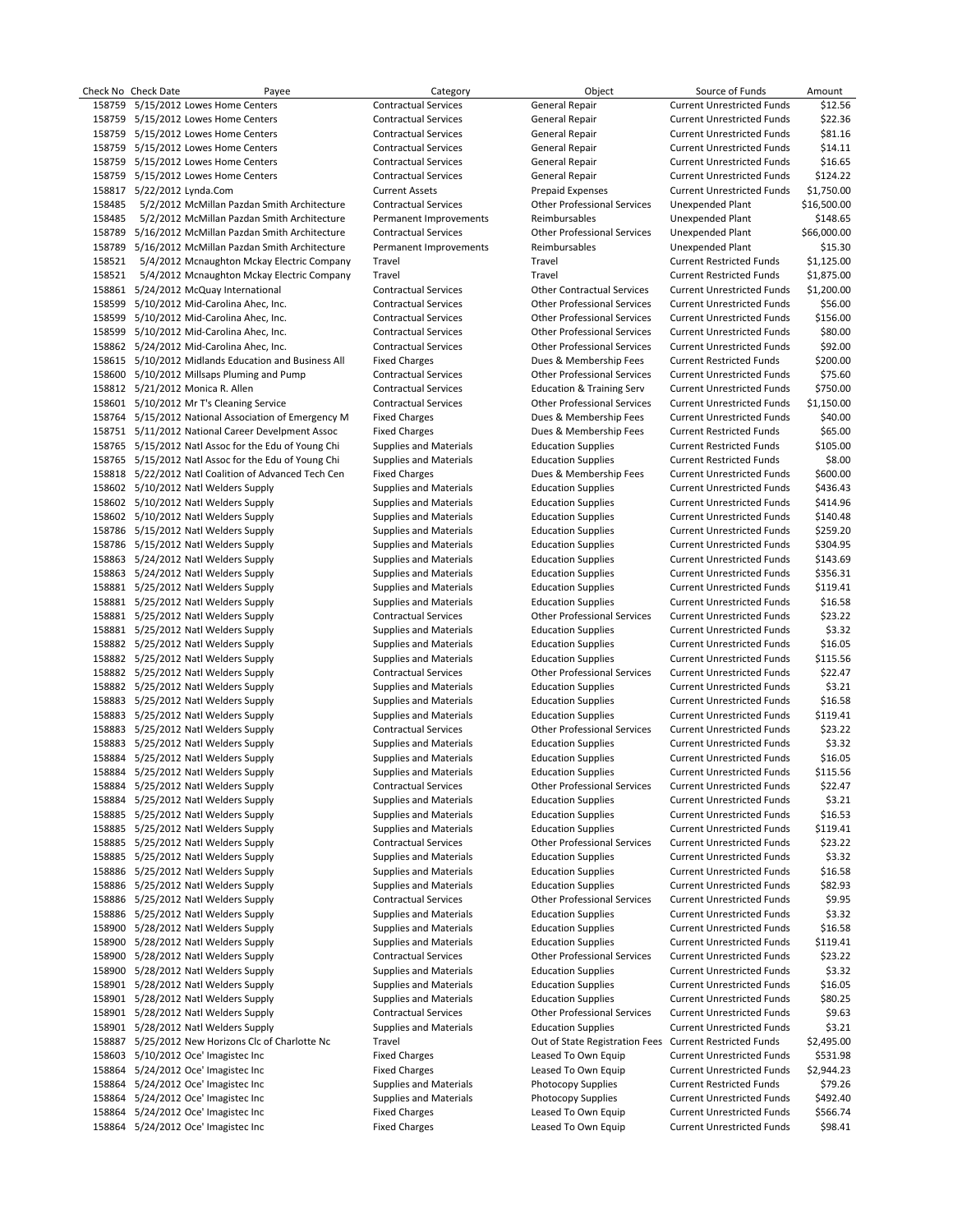|        | Check No Check Date        | Payee                                                | Category                      | Object                                                  | Source of Funds                   | Amount      |
|--------|----------------------------|------------------------------------------------------|-------------------------------|---------------------------------------------------------|-----------------------------------|-------------|
|        |                            | 158759 5/15/2012 Lowes Home Centers                  | <b>Contractual Services</b>   | <b>General Repair</b>                                   | <b>Current Unrestricted Funds</b> | \$12.56     |
|        |                            | 158759 5/15/2012 Lowes Home Centers                  | <b>Contractual Services</b>   | General Repair                                          | <b>Current Unrestricted Funds</b> | \$22.36     |
|        |                            | 158759 5/15/2012 Lowes Home Centers                  | <b>Contractual Services</b>   | General Repair                                          | <b>Current Unrestricted Funds</b> | \$81.16     |
|        |                            | 158759 5/15/2012 Lowes Home Centers                  | <b>Contractual Services</b>   | <b>General Repair</b>                                   | <b>Current Unrestricted Funds</b> | \$14.11     |
|        |                            | 158759 5/15/2012 Lowes Home Centers                  | <b>Contractual Services</b>   | General Repair                                          | <b>Current Unrestricted Funds</b> | \$16.65     |
|        |                            | 158759 5/15/2012 Lowes Home Centers                  | <b>Contractual Services</b>   | General Repair                                          | <b>Current Unrestricted Funds</b> | \$124.22    |
|        | 158817 5/22/2012 Lynda.Com |                                                      | <b>Current Assets</b>         | <b>Prepaid Expenses</b>                                 | <b>Current Unrestricted Funds</b> | \$1,750.00  |
| 158485 |                            | 5/2/2012 McMillan Pazdan Smith Architecture          | <b>Contractual Services</b>   | <b>Other Professional Services</b>                      | Unexpended Plant                  | \$16,500.00 |
| 158485 |                            | 5/2/2012 McMillan Pazdan Smith Architecture          | Permanent Improvements        | Reimbursables                                           | Unexpended Plant                  | \$148.65    |
|        |                            | 158789 5/16/2012 McMillan Pazdan Smith Architecture  | <b>Contractual Services</b>   | <b>Other Professional Services</b>                      | Unexpended Plant                  | \$66,000.00 |
|        |                            | 158789 5/16/2012 McMillan Pazdan Smith Architecture  | Permanent Improvements        | Reimbursables                                           | Unexpended Plant                  | \$15.30     |
| 158521 |                            | 5/4/2012 Mcnaughton Mckay Electric Company           | Travel                        | Travel                                                  | <b>Current Restricted Funds</b>   | \$1,125.00  |
| 158521 |                            | 5/4/2012 Mcnaughton Mckay Electric Company           | Travel                        | Travel                                                  | <b>Current Restricted Funds</b>   | \$1,875.00  |
|        |                            | 158861 5/24/2012 McQuay International                | <b>Contractual Services</b>   | <b>Other Contractual Services</b>                       | <b>Current Unrestricted Funds</b> | \$1,200.00  |
|        |                            | 158599 5/10/2012 Mid-Carolina Ahec, Inc.             | <b>Contractual Services</b>   | <b>Other Professional Services</b>                      | <b>Current Unrestricted Funds</b> | \$56.00     |
|        |                            | 158599 5/10/2012 Mid-Carolina Ahec, Inc.             | <b>Contractual Services</b>   | <b>Other Professional Services</b>                      | <b>Current Unrestricted Funds</b> | \$156.00    |
|        |                            | 158599 5/10/2012 Mid-Carolina Ahec, Inc.             | <b>Contractual Services</b>   | <b>Other Professional Services</b>                      | <b>Current Unrestricted Funds</b> | \$80.00     |
|        |                            | 158862 5/24/2012 Mid-Carolina Ahec, Inc.             | <b>Contractual Services</b>   | <b>Other Professional Services</b>                      | <b>Current Unrestricted Funds</b> | \$92.00     |
|        |                            | 158615 5/10/2012 Midlands Education and Business All | <b>Fixed Charges</b>          | Dues & Membership Fees                                  | <b>Current Restricted Funds</b>   | \$200.00    |
|        |                            | 158600 5/10/2012 Millsaps Pluming and Pump           | <b>Contractual Services</b>   | <b>Other Professional Services</b>                      | <b>Current Unrestricted Funds</b> | \$75.60     |
|        |                            | 158812 5/21/2012 Monica R. Allen                     | <b>Contractual Services</b>   | <b>Education &amp; Training Serv</b>                    | <b>Current Unrestricted Funds</b> | \$750.00    |
|        |                            | 158601 5/10/2012 Mr T's Cleaning Service             | <b>Contractual Services</b>   | <b>Other Professional Services</b>                      | <b>Current Unrestricted Funds</b> | \$1,150.00  |
|        |                            |                                                      |                               |                                                         | <b>Current Unrestricted Funds</b> |             |
|        |                            | 158764 5/15/2012 National Association of Emergency M | <b>Fixed Charges</b>          | Dues & Membership Fees                                  |                                   | \$40.00     |
|        |                            | 158751 5/11/2012 National Career Develpment Assoc    | <b>Fixed Charges</b>          | Dues & Membership Fees                                  | <b>Current Restricted Funds</b>   | \$65.00     |
|        |                            | 158765 5/15/2012 Natl Assoc for the Edu of Young Chi | Supplies and Materials        | <b>Education Supplies</b>                               | <b>Current Restricted Funds</b>   | \$105.00    |
|        |                            | 158765 5/15/2012 Natl Assoc for the Edu of Young Chi | <b>Supplies and Materials</b> | <b>Education Supplies</b>                               | <b>Current Restricted Funds</b>   | \$8.00      |
|        |                            | 158818 5/22/2012 Natl Coalition of Advanced Tech Cen | <b>Fixed Charges</b>          | Dues & Membership Fees                                  | <b>Current Unrestricted Funds</b> | \$600.00    |
|        |                            | 158602 5/10/2012 Natl Welders Supply                 | <b>Supplies and Materials</b> | <b>Education Supplies</b>                               | <b>Current Unrestricted Funds</b> | \$436.43    |
|        |                            | 158602 5/10/2012 Natl Welders Supply                 | Supplies and Materials        | <b>Education Supplies</b>                               | <b>Current Unrestricted Funds</b> | \$414.96    |
|        |                            | 158602 5/10/2012 Natl Welders Supply                 | Supplies and Materials        | <b>Education Supplies</b>                               | <b>Current Unrestricted Funds</b> | \$140.48    |
|        |                            | 158786 5/15/2012 Natl Welders Supply                 | Supplies and Materials        | <b>Education Supplies</b>                               | <b>Current Unrestricted Funds</b> | \$259.20    |
|        |                            | 158786 5/15/2012 Natl Welders Supply                 | Supplies and Materials        | <b>Education Supplies</b>                               | <b>Current Unrestricted Funds</b> | \$304.95    |
|        |                            | 158863 5/24/2012 Natl Welders Supply                 | Supplies and Materials        | <b>Education Supplies</b>                               | <b>Current Unrestricted Funds</b> | \$143.69    |
|        |                            | 158863 5/24/2012 Natl Welders Supply                 | Supplies and Materials        | <b>Education Supplies</b>                               | <b>Current Unrestricted Funds</b> | \$356.31    |
|        |                            | 158881 5/25/2012 Natl Welders Supply                 | <b>Supplies and Materials</b> | <b>Education Supplies</b>                               | <b>Current Unrestricted Funds</b> | \$119.41    |
|        |                            | 158881 5/25/2012 Natl Welders Supply                 | Supplies and Materials        | <b>Education Supplies</b>                               | <b>Current Unrestricted Funds</b> | \$16.58     |
|        |                            | 158881 5/25/2012 Natl Welders Supply                 | <b>Contractual Services</b>   | <b>Other Professional Services</b>                      | <b>Current Unrestricted Funds</b> | \$23.22     |
|        |                            | 158881 5/25/2012 Natl Welders Supply                 | Supplies and Materials        | <b>Education Supplies</b>                               | <b>Current Unrestricted Funds</b> | \$3.32      |
|        |                            | 158882 5/25/2012 Natl Welders Supply                 | Supplies and Materials        | <b>Education Supplies</b>                               | <b>Current Unrestricted Funds</b> | \$16.05     |
|        |                            | 158882 5/25/2012 Natl Welders Supply                 | Supplies and Materials        | <b>Education Supplies</b>                               | <b>Current Unrestricted Funds</b> | \$115.56    |
|        |                            | 158882 5/25/2012 Natl Welders Supply                 | <b>Contractual Services</b>   | <b>Other Professional Services</b>                      | <b>Current Unrestricted Funds</b> | \$22.47     |
|        |                            | 158882 5/25/2012 Natl Welders Supply                 | Supplies and Materials        | <b>Education Supplies</b>                               | <b>Current Unrestricted Funds</b> | \$3.21      |
|        |                            | 158883 5/25/2012 Natl Welders Supply                 | Supplies and Materials        | <b>Education Supplies</b>                               | <b>Current Unrestricted Funds</b> | \$16.58     |
|        |                            | 158883 5/25/2012 Natl Welders Supply                 | Supplies and Materials        | <b>Education Supplies</b>                               | <b>Current Unrestricted Funds</b> | \$119.41    |
|        |                            | 158883 5/25/2012 Natl Welders Supply                 | <b>Contractual Services</b>   | <b>Other Professional Services</b>                      | <b>Current Unrestricted Funds</b> | \$23.22     |
|        |                            | 158883 5/25/2012 Natl Welders Supply                 | Supplies and Materials        | <b>Education Supplies</b>                               | <b>Current Unrestricted Funds</b> | \$3.32      |
|        |                            | 158884 5/25/2012 Natl Welders Supply                 | <b>Supplies and Materials</b> | <b>Education Supplies</b>                               | <b>Current Unrestricted Funds</b> | \$16.05     |
|        |                            | 158884 5/25/2012 Natl Welders Supply                 | <b>Supplies and Materials</b> | <b>Education Supplies</b>                               | <b>Current Unrestricted Funds</b> | \$115.56    |
|        |                            | 158884 5/25/2012 Natl Welders Supply                 | Contractual Services          | <b>Other Professional Services</b>                      | <b>Current Unrestricted Funds</b> | \$22.47     |
|        |                            | 158884 5/25/2012 Natl Welders Supply                 | <b>Supplies and Materials</b> | <b>Education Supplies</b>                               | <b>Current Unrestricted Funds</b> | \$3.21      |
|        |                            | 158885 5/25/2012 Natl Welders Supply                 | Supplies and Materials        | <b>Education Supplies</b>                               | <b>Current Unrestricted Funds</b> | \$16.53     |
|        |                            | 158885 5/25/2012 Natl Welders Supply                 | Supplies and Materials        | <b>Education Supplies</b>                               | <b>Current Unrestricted Funds</b> | \$119.41    |
|        |                            | 158885 5/25/2012 Natl Welders Supply                 | <b>Contractual Services</b>   | <b>Other Professional Services</b>                      | <b>Current Unrestricted Funds</b> | \$23.22     |
|        |                            | 158885 5/25/2012 Natl Welders Supply                 | Supplies and Materials        | <b>Education Supplies</b>                               | <b>Current Unrestricted Funds</b> | \$3.32      |
|        |                            | 158886 5/25/2012 Natl Welders Supply                 | Supplies and Materials        | <b>Education Supplies</b>                               | <b>Current Unrestricted Funds</b> | \$16.58     |
| 158886 |                            | 5/25/2012 Natl Welders Supply                        | Supplies and Materials        | <b>Education Supplies</b>                               | <b>Current Unrestricted Funds</b> | \$82.93     |
|        |                            | 158886 5/25/2012 Natl Welders Supply                 | <b>Contractual Services</b>   | <b>Other Professional Services</b>                      | <b>Current Unrestricted Funds</b> | \$9.95      |
|        |                            | 158886 5/25/2012 Natl Welders Supply                 | <b>Supplies and Materials</b> | <b>Education Supplies</b>                               | <b>Current Unrestricted Funds</b> | \$3.32      |
|        |                            | 158900 5/28/2012 Natl Welders Supply                 | <b>Supplies and Materials</b> | <b>Education Supplies</b>                               | <b>Current Unrestricted Funds</b> | \$16.58     |
|        |                            | 158900 5/28/2012 Natl Welders Supply                 | <b>Supplies and Materials</b> | <b>Education Supplies</b>                               | <b>Current Unrestricted Funds</b> | \$119.41    |
|        |                            | 158900 5/28/2012 Natl Welders Supply                 | <b>Contractual Services</b>   | <b>Other Professional Services</b>                      | <b>Current Unrestricted Funds</b> | \$23.22     |
|        |                            |                                                      |                               |                                                         |                                   |             |
|        |                            | 158900 5/28/2012 Natl Welders Supply                 | Supplies and Materials        | <b>Education Supplies</b>                               | <b>Current Unrestricted Funds</b> | \$3.32      |
|        |                            | 158901 5/28/2012 Natl Welders Supply                 | <b>Supplies and Materials</b> | <b>Education Supplies</b>                               | <b>Current Unrestricted Funds</b> | \$16.05     |
|        |                            | 158901 5/28/2012 Natl Welders Supply                 | <b>Supplies and Materials</b> | <b>Education Supplies</b>                               | <b>Current Unrestricted Funds</b> | \$80.25     |
|        |                            | 158901 5/28/2012 Natl Welders Supply                 | <b>Contractual Services</b>   | <b>Other Professional Services</b>                      | <b>Current Unrestricted Funds</b> | \$9.63      |
|        |                            | 158901 5/28/2012 Natl Welders Supply                 | <b>Supplies and Materials</b> | <b>Education Supplies</b>                               | <b>Current Unrestricted Funds</b> | \$3.21      |
|        |                            | 158887 5/25/2012 New Horizons Clc of Charlotte Nc    | Travel                        | Out of State Registration Fees Current Restricted Funds |                                   | \$2,495.00  |
|        |                            | 158603 5/10/2012 Oce' Imagistec Inc                  | <b>Fixed Charges</b>          | Leased To Own Equip                                     | <b>Current Unrestricted Funds</b> | \$531.98    |
|        |                            | 158864 5/24/2012 Oce' Imagistec Inc                  | <b>Fixed Charges</b>          | Leased To Own Equip                                     | <b>Current Unrestricted Funds</b> | \$2,944.23  |
|        |                            | 158864 5/24/2012 Oce' Imagistec Inc                  | Supplies and Materials        | <b>Photocopy Supplies</b>                               | <b>Current Restricted Funds</b>   | \$79.26     |
|        |                            | 158864 5/24/2012 Oce' Imagistec Inc                  | Supplies and Materials        | <b>Photocopy Supplies</b>                               | <b>Current Unrestricted Funds</b> | \$492.40    |
|        |                            | 158864 5/24/2012 Oce' Imagistec Inc                  | <b>Fixed Charges</b>          | Leased To Own Equip                                     | <b>Current Unrestricted Funds</b> | \$566.74    |
|        |                            | 158864 5/24/2012 Oce' Imagistec Inc                  | <b>Fixed Charges</b>          | Leased To Own Equip                                     | <b>Current Unrestricted Funds</b> | \$98.41     |
|        |                            |                                                      |                               |                                                         |                                   |             |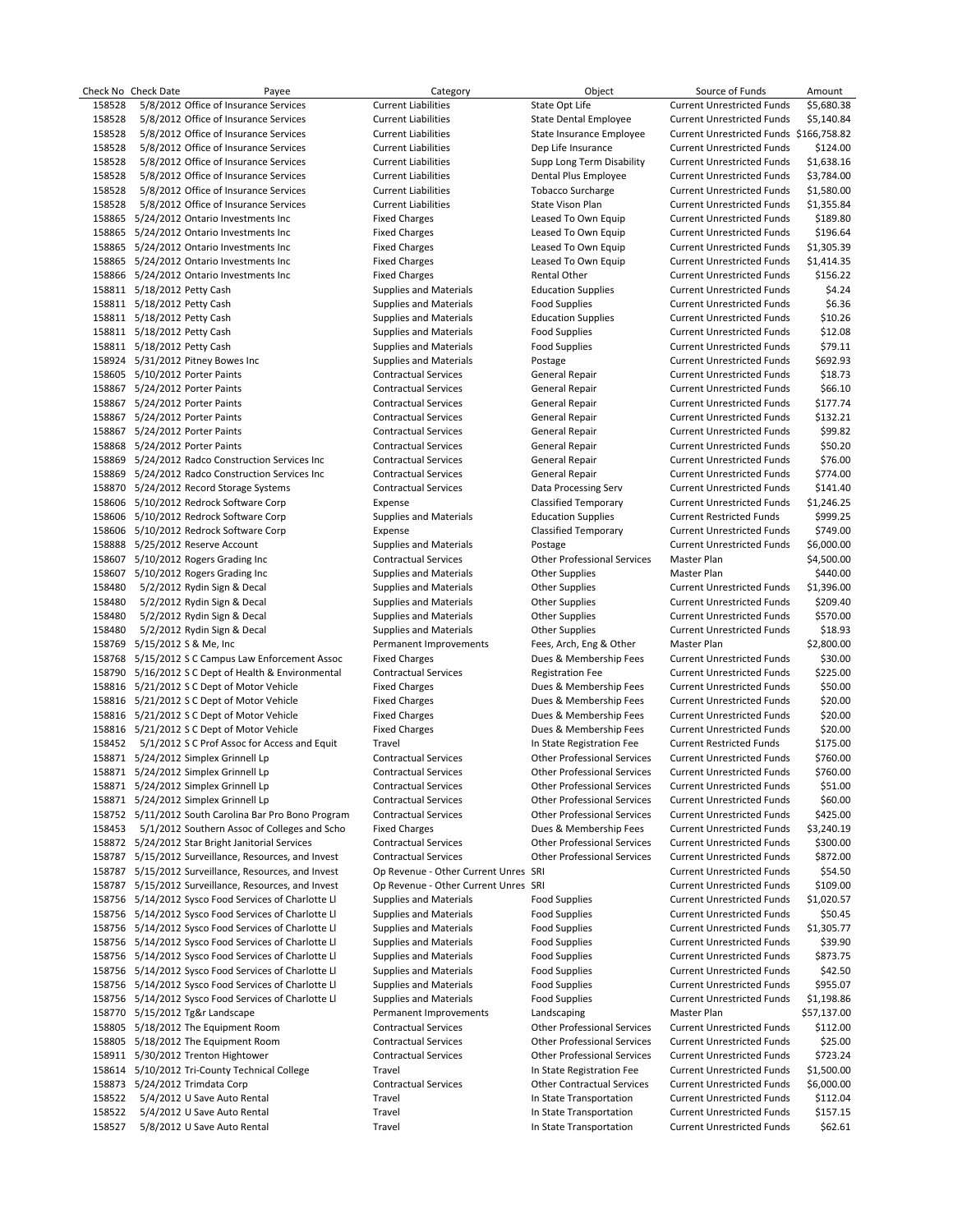|        | Check No Check Date            | Payee                                                | Category                             | Object                             | Source of Funds                         | Amount      |
|--------|--------------------------------|------------------------------------------------------|--------------------------------------|------------------------------------|-----------------------------------------|-------------|
| 158528 |                                | 5/8/2012 Office of Insurance Services                | <b>Current Liabilities</b>           | State Opt Life                     | <b>Current Unrestricted Funds</b>       | \$5,680.38  |
| 158528 |                                | 5/8/2012 Office of Insurance Services                | <b>Current Liabilities</b>           | State Dental Employee              | <b>Current Unrestricted Funds</b>       | \$5,140.84  |
| 158528 |                                | 5/8/2012 Office of Insurance Services                | <b>Current Liabilities</b>           | State Insurance Employee           | Current Unrestricted Funds \$166,758.82 |             |
| 158528 |                                | 5/8/2012 Office of Insurance Services                | <b>Current Liabilities</b>           | Dep Life Insurance                 | <b>Current Unrestricted Funds</b>       | \$124.00    |
| 158528 |                                | 5/8/2012 Office of Insurance Services                | <b>Current Liabilities</b>           | Supp Long Term Disability          | <b>Current Unrestricted Funds</b>       | \$1,638.16  |
| 158528 |                                | 5/8/2012 Office of Insurance Services                | <b>Current Liabilities</b>           | Dental Plus Employee               | <b>Current Unrestricted Funds</b>       | \$3,784.00  |
| 158528 |                                | 5/8/2012 Office of Insurance Services                | <b>Current Liabilities</b>           | <b>Tobacco Surcharge</b>           | <b>Current Unrestricted Funds</b>       | \$1,580.00  |
| 158528 |                                | 5/8/2012 Office of Insurance Services                | <b>Current Liabilities</b>           | State Vison Plan                   | <b>Current Unrestricted Funds</b>       | \$1,355.84  |
|        |                                | 158865 5/24/2012 Ontario Investments Inc             | <b>Fixed Charges</b>                 | Leased To Own Equip                | <b>Current Unrestricted Funds</b>       | \$189.80    |
|        |                                | 158865 5/24/2012 Ontario Investments Inc             | <b>Fixed Charges</b>                 | Leased To Own Equip                | <b>Current Unrestricted Funds</b>       | \$196.64    |
|        |                                | 158865 5/24/2012 Ontario Investments Inc             | <b>Fixed Charges</b>                 | Leased To Own Equip                | <b>Current Unrestricted Funds</b>       | \$1,305.39  |
|        |                                | 158865 5/24/2012 Ontario Investments Inc             | <b>Fixed Charges</b>                 | Leased To Own Equip                | <b>Current Unrestricted Funds</b>       | \$1,414.35  |
|        |                                |                                                      | <b>Fixed Charges</b>                 |                                    |                                         |             |
|        |                                | 158866 5/24/2012 Ontario Investments Inc             |                                      | Rental Other                       | <b>Current Unrestricted Funds</b>       | \$156.22    |
|        | 158811 5/18/2012 Petty Cash    |                                                      | Supplies and Materials               | <b>Education Supplies</b>          | <b>Current Unrestricted Funds</b>       | \$4.24      |
|        | 158811 5/18/2012 Petty Cash    |                                                      | Supplies and Materials               | <b>Food Supplies</b>               | <b>Current Unrestricted Funds</b>       | \$6.36      |
|        | 158811 5/18/2012 Petty Cash    |                                                      | Supplies and Materials               | <b>Education Supplies</b>          | <b>Current Unrestricted Funds</b>       | \$10.26     |
|        | 158811 5/18/2012 Petty Cash    |                                                      | Supplies and Materials               | <b>Food Supplies</b>               | <b>Current Unrestricted Funds</b>       | \$12.08     |
|        | 158811 5/18/2012 Petty Cash    |                                                      | Supplies and Materials               | <b>Food Supplies</b>               | <b>Current Unrestricted Funds</b>       | \$79.11     |
|        |                                | 158924 5/31/2012 Pitney Bowes Inc                    | Supplies and Materials               | Postage                            | <b>Current Unrestricted Funds</b>       | \$692.93    |
|        | 158605 5/10/2012 Porter Paints |                                                      | <b>Contractual Services</b>          | General Repair                     | <b>Current Unrestricted Funds</b>       | \$18.73     |
|        | 158867 5/24/2012 Porter Paints |                                                      | <b>Contractual Services</b>          | <b>General Repair</b>              | <b>Current Unrestricted Funds</b>       | \$66.10     |
|        | 158867 5/24/2012 Porter Paints |                                                      | <b>Contractual Services</b>          | General Repair                     | <b>Current Unrestricted Funds</b>       | \$177.74    |
|        | 158867 5/24/2012 Porter Paints |                                                      | <b>Contractual Services</b>          | General Repair                     | <b>Current Unrestricted Funds</b>       | \$132.21    |
|        | 158867 5/24/2012 Porter Paints |                                                      | <b>Contractual Services</b>          | General Repair                     | <b>Current Unrestricted Funds</b>       | \$99.82     |
|        | 158868 5/24/2012 Porter Paints |                                                      | <b>Contractual Services</b>          | General Repair                     | <b>Current Unrestricted Funds</b>       | \$50.20     |
|        |                                | 158869 5/24/2012 Radco Construction Services Inc     | <b>Contractual Services</b>          | General Repair                     | <b>Current Unrestricted Funds</b>       | \$76.00     |
|        |                                | 158869 5/24/2012 Radco Construction Services Inc     | <b>Contractual Services</b>          | General Repair                     | <b>Current Unrestricted Funds</b>       | \$774.00    |
|        |                                | 158870 5/24/2012 Record Storage Systems              | <b>Contractual Services</b>          | Data Processing Serv               | <b>Current Unrestricted Funds</b>       | \$141.40    |
|        |                                | 158606 5/10/2012 Redrock Software Corp               | Expense                              | Classified Temporary               | <b>Current Unrestricted Funds</b>       | \$1,246.25  |
|        |                                | 158606 5/10/2012 Redrock Software Corp               | <b>Supplies and Materials</b>        | <b>Education Supplies</b>          | <b>Current Restricted Funds</b>         | \$999.25    |
|        |                                | 158606 5/10/2012 Redrock Software Corp               | Expense                              | <b>Classified Temporary</b>        | <b>Current Unrestricted Funds</b>       | \$749.00    |
|        |                                | 158888 5/25/2012 Reserve Account                     | <b>Supplies and Materials</b>        | Postage                            | <b>Current Unrestricted Funds</b>       | \$6,000.00  |
|        |                                | 158607 5/10/2012 Rogers Grading Inc                  | <b>Contractual Services</b>          | <b>Other Professional Services</b> | Master Plan                             | \$4,500.00  |
|        |                                | 158607 5/10/2012 Rogers Grading Inc                  | <b>Supplies and Materials</b>        | <b>Other Supplies</b>              | Master Plan                             | \$440.00    |
| 158480 |                                |                                                      |                                      |                                    | <b>Current Unrestricted Funds</b>       | \$1,396.00  |
|        |                                | 5/2/2012 Rydin Sign & Decal                          | <b>Supplies and Materials</b>        | <b>Other Supplies</b>              |                                         |             |
| 158480 |                                | 5/2/2012 Rydin Sign & Decal                          | <b>Supplies and Materials</b>        | <b>Other Supplies</b>              | <b>Current Unrestricted Funds</b>       | \$209.40    |
| 158480 |                                | 5/2/2012 Rydin Sign & Decal                          | <b>Supplies and Materials</b>        | <b>Other Supplies</b>              | <b>Current Unrestricted Funds</b>       | \$570.00    |
| 158480 |                                | 5/2/2012 Rydin Sign & Decal                          | <b>Supplies and Materials</b>        | <b>Other Supplies</b>              | <b>Current Unrestricted Funds</b>       | \$18.93     |
|        | 158769 5/15/2012 S & Me, Inc   |                                                      | Permanent Improvements               | Fees, Arch, Eng & Other            | Master Plan                             | \$2,800.00  |
|        |                                | 158768 5/15/2012 S C Campus Law Enforcement Assoc    | <b>Fixed Charges</b>                 | Dues & Membership Fees             | <b>Current Unrestricted Funds</b>       | \$30.00     |
|        |                                | 158790 5/16/2012 S C Dept of Health & Environmental  | <b>Contractual Services</b>          | <b>Registration Fee</b>            | <b>Current Unrestricted Funds</b>       | \$225.00    |
|        |                                | 158816 5/21/2012 S C Dept of Motor Vehicle           | <b>Fixed Charges</b>                 | Dues & Membership Fees             | <b>Current Unrestricted Funds</b>       | \$50.00     |
|        |                                | 158816 5/21/2012 S C Dept of Motor Vehicle           | <b>Fixed Charges</b>                 | Dues & Membership Fees             | <b>Current Unrestricted Funds</b>       | \$20.00     |
|        |                                | 158816 5/21/2012 S C Dept of Motor Vehicle           | <b>Fixed Charges</b>                 | Dues & Membership Fees             | <b>Current Unrestricted Funds</b>       | \$20.00     |
|        |                                | 158816 5/21/2012 S C Dept of Motor Vehicle           | <b>Fixed Charges</b>                 | Dues & Membership Fees             | <b>Current Unrestricted Funds</b>       | \$20.00     |
| 158452 |                                | 5/1/2012 S C Prof Assoc for Access and Equit         | Travel                               | In State Registration Fee          | <b>Current Restricted Funds</b>         | \$175.00    |
|        |                                | 158871 5/24/2012 Simplex Grinnell Lp                 | <b>Contractual Services</b>          | <b>Other Professional Services</b> | <b>Current Unrestricted Funds</b>       | \$760.00    |
|        |                                | 158871 5/24/2012 Simplex Grinnell Lp                 | <b>Contractual Services</b>          | <b>Other Professional Services</b> | <b>Current Unrestricted Funds</b>       | \$760.00    |
|        |                                | 158871 5/24/2012 Simplex Grinnell Lp                 | <b>Contractual Services</b>          | <b>Other Professional Services</b> | <b>Current Unrestricted Funds</b>       | \$51.00     |
|        |                                | 158871 5/24/2012 Simplex Grinnell Lp                 | <b>Contractual Services</b>          | <b>Other Professional Services</b> | <b>Current Unrestricted Funds</b>       | \$60.00     |
|        |                                | 158752 5/11/2012 South Carolina Bar Pro Bono Program | <b>Contractual Services</b>          | <b>Other Professional Services</b> | <b>Current Unrestricted Funds</b>       | \$425.00    |
| 158453 |                                | 5/1/2012 Southern Assoc of Colleges and Scho         | <b>Fixed Charges</b>                 | Dues & Membership Fees             | <b>Current Unrestricted Funds</b>       | \$3,240.19  |
|        |                                | 158872 5/24/2012 Star Bright Janitorial Services     | <b>Contractual Services</b>          | <b>Other Professional Services</b> | <b>Current Unrestricted Funds</b>       | \$300.00    |
|        |                                | 158787 5/15/2012 Surveillance, Resources, and Invest | <b>Contractual Services</b>          | <b>Other Professional Services</b> | <b>Current Unrestricted Funds</b>       | \$872.00    |
|        |                                | 158787 5/15/2012 Surveillance, Resources, and Invest | Op Revenue - Other Current Unres SRI |                                    | <b>Current Unrestricted Funds</b>       | \$54.50     |
| 158787 |                                | 5/15/2012 Surveillance, Resources, and Invest        | Op Revenue - Other Current Unres SRI |                                    | <b>Current Unrestricted Funds</b>       | \$109.00    |
|        |                                | 158756 5/14/2012 Sysco Food Services of Charlotte Ll | <b>Supplies and Materials</b>        | <b>Food Supplies</b>               | <b>Current Unrestricted Funds</b>       | \$1,020.57  |
|        |                                | 158756 5/14/2012 Sysco Food Services of Charlotte LI | <b>Supplies and Materials</b>        | <b>Food Supplies</b>               | <b>Current Unrestricted Funds</b>       | \$50.45     |
|        |                                | 158756 5/14/2012 Sysco Food Services of Charlotte LI | <b>Supplies and Materials</b>        | <b>Food Supplies</b>               | <b>Current Unrestricted Funds</b>       | \$1,305.77  |
|        |                                |                                                      |                                      | <b>Food Supplies</b>               |                                         | \$39.90     |
|        |                                | 158756 5/14/2012 Sysco Food Services of Charlotte LI | <b>Supplies and Materials</b>        |                                    | <b>Current Unrestricted Funds</b>       |             |
|        |                                | 158756 5/14/2012 Sysco Food Services of Charlotte Ll | <b>Supplies and Materials</b>        | <b>Food Supplies</b>               | <b>Current Unrestricted Funds</b>       | \$873.75    |
|        |                                | 158756 5/14/2012 Sysco Food Services of Charlotte Ll | <b>Supplies and Materials</b>        | <b>Food Supplies</b>               | <b>Current Unrestricted Funds</b>       | \$42.50     |
|        |                                | 158756 5/14/2012 Sysco Food Services of Charlotte Ll | Supplies and Materials               | <b>Food Supplies</b>               | <b>Current Unrestricted Funds</b>       | \$955.07    |
|        |                                | 158756 5/14/2012 Sysco Food Services of Charlotte Ll | <b>Supplies and Materials</b>        | <b>Food Supplies</b>               | <b>Current Unrestricted Funds</b>       | \$1,198.86  |
|        |                                | 158770 5/15/2012 Tg&r Landscape                      | Permanent Improvements               | Landscaping                        | Master Plan                             | \$57,137.00 |
|        |                                | 158805 5/18/2012 The Equipment Room                  | <b>Contractual Services</b>          | <b>Other Professional Services</b> | <b>Current Unrestricted Funds</b>       | \$112.00    |
|        |                                | 158805 5/18/2012 The Equipment Room                  | <b>Contractual Services</b>          | <b>Other Professional Services</b> | <b>Current Unrestricted Funds</b>       | \$25.00     |
|        |                                | 158911 5/30/2012 Trenton Hightower                   | <b>Contractual Services</b>          | <b>Other Professional Services</b> | <b>Current Unrestricted Funds</b>       | \$723.24    |
|        |                                | 158614 5/10/2012 Tri-County Technical College        | Travel                               | In State Registration Fee          | <b>Current Unrestricted Funds</b>       | \$1,500.00  |
|        | 158873 5/24/2012 Trimdata Corp |                                                      | <b>Contractual Services</b>          | <b>Other Contractual Services</b>  | <b>Current Unrestricted Funds</b>       | \$6,000.00  |
| 158522 |                                | 5/4/2012 U Save Auto Rental                          | Travel                               | In State Transportation            | <b>Current Unrestricted Funds</b>       | \$112.04    |
| 158522 |                                | 5/4/2012 U Save Auto Rental                          | Travel                               | In State Transportation            | <b>Current Unrestricted Funds</b>       | \$157.15    |
| 158527 |                                | 5/8/2012 U Save Auto Rental                          | Travel                               | In State Transportation            | <b>Current Unrestricted Funds</b>       | \$62.61     |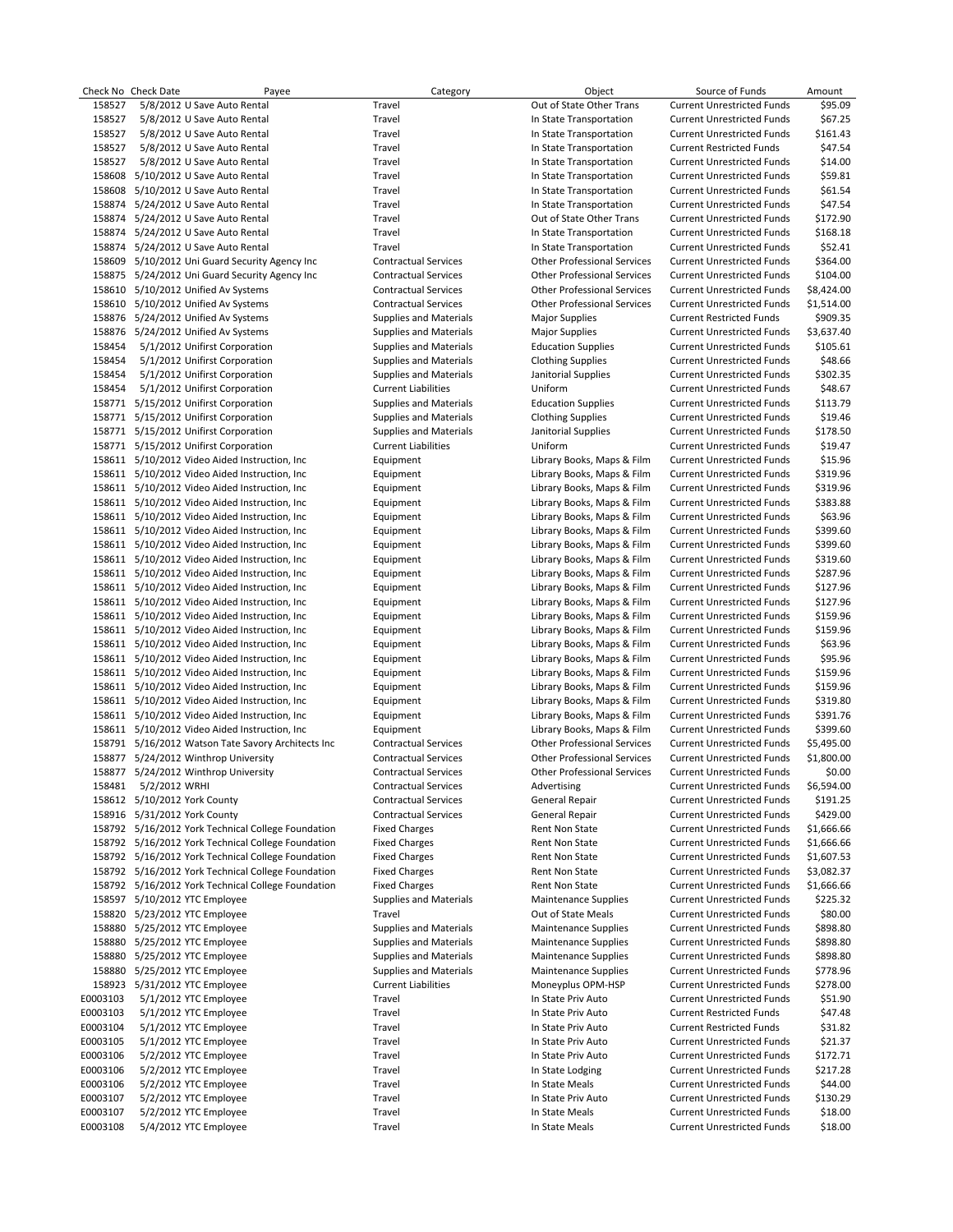|                  | Check No Check Date           | Payee                                                                                            | Category                                         | Object                                                     | Source of Funds                                                        | Amount               |
|------------------|-------------------------------|--------------------------------------------------------------------------------------------------|--------------------------------------------------|------------------------------------------------------------|------------------------------------------------------------------------|----------------------|
| 158527           |                               | 5/8/2012 U Save Auto Rental                                                                      | Travel                                           | Out of State Other Trans                                   | <b>Current Unrestricted Funds</b>                                      | \$95.09              |
| 158527           |                               | 5/8/2012 U Save Auto Rental                                                                      | Travel                                           | In State Transportation                                    | <b>Current Unrestricted Funds</b>                                      | \$67.25              |
| 158527           |                               | 5/8/2012 U Save Auto Rental                                                                      | Travel                                           | In State Transportation                                    | <b>Current Unrestricted Funds</b>                                      | \$161.43             |
| 158527           |                               | 5/8/2012 U Save Auto Rental                                                                      | Travel                                           | In State Transportation                                    | <b>Current Restricted Funds</b>                                        | \$47.54              |
| 158527           |                               | 5/8/2012 U Save Auto Rental                                                                      | Travel                                           | In State Transportation                                    | <b>Current Unrestricted Funds</b>                                      | \$14.00              |
| 158608           |                               | 5/10/2012 U Save Auto Rental<br>158608 5/10/2012 U Save Auto Rental                              | Travel<br>Travel                                 | In State Transportation<br>In State Transportation         | <b>Current Unrestricted Funds</b><br><b>Current Unrestricted Funds</b> | \$59.81<br>\$61.54   |
|                  |                               | 158874 5/24/2012 U Save Auto Rental                                                              | Travel                                           | In State Transportation                                    | <b>Current Unrestricted Funds</b>                                      | \$47.54              |
|                  |                               | 158874 5/24/2012 U Save Auto Rental                                                              | Travel                                           | Out of State Other Trans                                   | <b>Current Unrestricted Funds</b>                                      | \$172.90             |
|                  |                               | 158874 5/24/2012 U Save Auto Rental                                                              | Travel                                           | In State Transportation                                    | <b>Current Unrestricted Funds</b>                                      | \$168.18             |
|                  |                               | 158874 5/24/2012 U Save Auto Rental                                                              | Travel                                           | In State Transportation                                    | <b>Current Unrestricted Funds</b>                                      | \$52.41              |
|                  |                               | 158609 5/10/2012 Uni Guard Security Agency Inc                                                   | <b>Contractual Services</b>                      | <b>Other Professional Services</b>                         | <b>Current Unrestricted Funds</b>                                      | \$364.00             |
|                  |                               | 158875 5/24/2012 Uni Guard Security Agency Inc                                                   | <b>Contractual Services</b>                      | <b>Other Professional Services</b>                         | <b>Current Unrestricted Funds</b>                                      | \$104.00             |
|                  |                               | 158610 5/10/2012 Unified Av Systems                                                              | <b>Contractual Services</b>                      | <b>Other Professional Services</b>                         | <b>Current Unrestricted Funds</b>                                      | \$8,424.00           |
|                  |                               | 158610 5/10/2012 Unified Av Systems                                                              | <b>Contractual Services</b>                      | <b>Other Professional Services</b>                         | <b>Current Unrestricted Funds</b>                                      | \$1,514.00           |
|                  |                               | 158876 5/24/2012 Unified Av Systems                                                              | Supplies and Materials                           | <b>Major Supplies</b>                                      | <b>Current Restricted Funds</b>                                        | \$909.35             |
| 158876           |                               | 5/24/2012 Unified Av Systems                                                                     | <b>Supplies and Materials</b>                    | <b>Major Supplies</b>                                      | <b>Current Unrestricted Funds</b>                                      | \$3,637.40           |
| 158454           |                               | 5/1/2012 Unifirst Corporation                                                                    | <b>Supplies and Materials</b>                    | <b>Education Supplies</b>                                  | <b>Current Unrestricted Funds</b>                                      | \$105.61             |
| 158454           |                               | 5/1/2012 Unifirst Corporation                                                                    | Supplies and Materials                           | <b>Clothing Supplies</b>                                   | <b>Current Unrestricted Funds</b>                                      | \$48.66              |
| 158454           |                               | 5/1/2012 Unifirst Corporation                                                                    | <b>Supplies and Materials</b>                    | Janitorial Supplies                                        | <b>Current Unrestricted Funds</b>                                      | \$302.35             |
| 158454           |                               | 5/1/2012 Unifirst Corporation                                                                    | <b>Current Liabilities</b>                       | Uniform                                                    | <b>Current Unrestricted Funds</b>                                      | \$48.67              |
|                  |                               | 158771 5/15/2012 Unifirst Corporation                                                            | Supplies and Materials                           | <b>Education Supplies</b>                                  | <b>Current Unrestricted Funds</b>                                      | \$113.79             |
|                  |                               | 158771 5/15/2012 Unifirst Corporation                                                            | <b>Supplies and Materials</b>                    | <b>Clothing Supplies</b>                                   | <b>Current Unrestricted Funds</b>                                      | \$19.46              |
|                  |                               | 158771 5/15/2012 Unifirst Corporation                                                            | <b>Supplies and Materials</b>                    | Janitorial Supplies                                        | <b>Current Unrestricted Funds</b>                                      | \$178.50             |
|                  |                               | 158771 5/15/2012 Unifirst Corporation                                                            | <b>Current Liabilities</b>                       | Uniform                                                    | <b>Current Unrestricted Funds</b>                                      | \$19.47<br>\$15.96   |
|                  |                               | 158611 5/10/2012 Video Aided Instruction, Inc.<br>158611 5/10/2012 Video Aided Instruction, Inc. | Equipment<br>Equipment                           | Library Books, Maps & Film<br>Library Books, Maps & Film   | <b>Current Unrestricted Funds</b><br><b>Current Unrestricted Funds</b> | \$319.96             |
|                  |                               | 158611 5/10/2012 Video Aided Instruction, Inc.                                                   | Equipment                                        | Library Books, Maps & Film                                 | <b>Current Unrestricted Funds</b>                                      | \$319.96             |
|                  |                               | 158611 5/10/2012 Video Aided Instruction, Inc.                                                   | Equipment                                        | Library Books, Maps & Film                                 | <b>Current Unrestricted Funds</b>                                      | \$383.88             |
|                  |                               | 158611 5/10/2012 Video Aided Instruction, Inc.                                                   | Equipment                                        | Library Books, Maps & Film                                 | <b>Current Unrestricted Funds</b>                                      | \$63.96              |
|                  |                               | 158611 5/10/2012 Video Aided Instruction, Inc.                                                   | Equipment                                        | Library Books, Maps & Film                                 | <b>Current Unrestricted Funds</b>                                      | \$399.60             |
|                  |                               | 158611 5/10/2012 Video Aided Instruction, Inc.                                                   | Equipment                                        | Library Books, Maps & Film                                 | <b>Current Unrestricted Funds</b>                                      | \$399.60             |
|                  |                               | 158611 5/10/2012 Video Aided Instruction, Inc.                                                   | Equipment                                        | Library Books, Maps & Film                                 | <b>Current Unrestricted Funds</b>                                      | \$319.60             |
|                  |                               | 158611 5/10/2012 Video Aided Instruction, Inc.                                                   | Equipment                                        | Library Books, Maps & Film                                 | <b>Current Unrestricted Funds</b>                                      | \$287.96             |
|                  |                               | 158611 5/10/2012 Video Aided Instruction, Inc.                                                   | Equipment                                        | Library Books, Maps & Film                                 | <b>Current Unrestricted Funds</b>                                      | \$127.96             |
|                  |                               | 158611 5/10/2012 Video Aided Instruction, Inc.                                                   | Equipment                                        | Library Books, Maps & Film                                 | <b>Current Unrestricted Funds</b>                                      | \$127.96             |
|                  |                               | 158611 5/10/2012 Video Aided Instruction, Inc.                                                   | Equipment                                        | Library Books, Maps & Film                                 | <b>Current Unrestricted Funds</b>                                      | \$159.96             |
|                  |                               | 158611 5/10/2012 Video Aided Instruction, Inc.                                                   | Equipment                                        | Library Books, Maps & Film                                 | <b>Current Unrestricted Funds</b>                                      | \$159.96             |
|                  |                               | 158611 5/10/2012 Video Aided Instruction, Inc.                                                   | Equipment                                        | Library Books, Maps & Film                                 | <b>Current Unrestricted Funds</b>                                      | \$63.96              |
|                  |                               | 158611 5/10/2012 Video Aided Instruction, Inc.                                                   | Equipment                                        | Library Books, Maps & Film                                 | <b>Current Unrestricted Funds</b>                                      | \$95.96              |
|                  |                               | 158611 5/10/2012 Video Aided Instruction, Inc.                                                   | Equipment                                        | Library Books, Maps & Film                                 | <b>Current Unrestricted Funds</b>                                      | \$159.96             |
|                  |                               | 158611 5/10/2012 Video Aided Instruction, Inc.                                                   | Equipment                                        | Library Books, Maps & Film                                 | <b>Current Unrestricted Funds</b>                                      | \$159.96             |
|                  |                               | 158611 5/10/2012 Video Aided Instruction, Inc.                                                   | Equipment                                        | Library Books, Maps & Film                                 | <b>Current Unrestricted Funds</b>                                      | \$319.80             |
|                  |                               | 158611 5/10/2012 Video Aided Instruction, Inc.<br>158611 5/10/2012 Video Aided Instruction, Inc  | Equipment<br>Equipment                           | Library Books, Maps & Film<br>Library Books, Maps & Film   | <b>Current Unrestricted Funds</b><br><b>Current Unrestricted Funds</b> | \$391.76<br>\$399.60 |
|                  |                               | 158791 5/16/2012 Watson Tate Savory Architects Inc                                               | <b>Contractual Services</b>                      | <b>Other Professional Services</b>                         | <b>Current Unrestricted Funds</b>                                      | \$5,495.00           |
|                  |                               | 158877 5/24/2012 Winthrop University                                                             | <b>Contractual Services</b>                      | <b>Other Professional Services</b>                         | <b>Current Unrestricted Funds</b>                                      | \$1,800.00           |
|                  |                               | 158877 5/24/2012 Winthrop University                                                             | <b>Contractual Services</b>                      | <b>Other Professional Services</b>                         | <b>Current Unrestricted Funds</b>                                      | \$0.00               |
| 158481           | 5/2/2012 WRHI                 |                                                                                                  | <b>Contractual Services</b>                      | Advertising                                                | <b>Current Unrestricted Funds</b>                                      | \$6,594.00           |
|                  | 158612 5/10/2012 York County  |                                                                                                  | <b>Contractual Services</b>                      | <b>General Repair</b>                                      | <b>Current Unrestricted Funds</b>                                      | \$191.25             |
|                  | 158916 5/31/2012 York County  |                                                                                                  | <b>Contractual Services</b>                      | <b>General Repair</b>                                      | <b>Current Unrestricted Funds</b>                                      | \$429.00             |
|                  |                               | 158792 5/16/2012 York Technical College Foundation                                               | <b>Fixed Charges</b>                             | Rent Non State                                             | <b>Current Unrestricted Funds</b>                                      | \$1,666.66           |
|                  |                               | 158792 5/16/2012 York Technical College Foundation                                               | <b>Fixed Charges</b>                             | Rent Non State                                             | <b>Current Unrestricted Funds</b>                                      | \$1,666.66           |
|                  |                               | 158792 5/16/2012 York Technical College Foundation                                               | <b>Fixed Charges</b>                             | <b>Rent Non State</b>                                      | <b>Current Unrestricted Funds</b>                                      | \$1,607.53           |
|                  |                               | 158792 5/16/2012 York Technical College Foundation                                               | <b>Fixed Charges</b>                             | Rent Non State                                             | <b>Current Unrestricted Funds</b>                                      | \$3,082.37           |
|                  |                               | 158792 5/16/2012 York Technical College Foundation                                               | <b>Fixed Charges</b>                             | Rent Non State                                             | <b>Current Unrestricted Funds</b>                                      | \$1,666.66           |
|                  | 158597 5/10/2012 YTC Employee |                                                                                                  | Supplies and Materials                           | Maintenance Supplies                                       | <b>Current Unrestricted Funds</b>                                      | \$225.32             |
|                  | 158820 5/23/2012 YTC Employee |                                                                                                  | Travel                                           | Out of State Meals                                         | <b>Current Unrestricted Funds</b>                                      | \$80.00              |
|                  | 158880 5/25/2012 YTC Employee |                                                                                                  | <b>Supplies and Materials</b>                    | <b>Maintenance Supplies</b>                                | <b>Current Unrestricted Funds</b>                                      | \$898.80             |
| 158880<br>158880 |                               | 5/25/2012 YTC Employee                                                                           | Supplies and Materials                           | <b>Maintenance Supplies</b>                                | <b>Current Unrestricted Funds</b>                                      | \$898.80             |
| 158880           |                               | 5/25/2012 YTC Employee<br>5/25/2012 YTC Employee                                                 | Supplies and Materials<br>Supplies and Materials | <b>Maintenance Supplies</b><br><b>Maintenance Supplies</b> | <b>Current Unrestricted Funds</b><br><b>Current Unrestricted Funds</b> | \$898.80<br>\$778.96 |
| 158923           |                               | 5/31/2012 YTC Employee                                                                           | <b>Current Liabilities</b>                       | Moneyplus OPM-HSP                                          | <b>Current Unrestricted Funds</b>                                      | \$278.00             |
| E0003103         |                               | 5/1/2012 YTC Employee                                                                            | Travel                                           | In State Priv Auto                                         | <b>Current Unrestricted Funds</b>                                      | \$51.90              |
| E0003103         |                               | 5/1/2012 YTC Employee                                                                            | Travel                                           | In State Priv Auto                                         | <b>Current Restricted Funds</b>                                        | \$47.48              |
| E0003104         |                               | 5/1/2012 YTC Employee                                                                            | Travel                                           | In State Priv Auto                                         | <b>Current Restricted Funds</b>                                        | \$31.82              |
| E0003105         |                               | 5/1/2012 YTC Employee                                                                            | Travel                                           | In State Priv Auto                                         | <b>Current Unrestricted Funds</b>                                      | \$21.37              |
| E0003106         |                               | 5/2/2012 YTC Employee                                                                            | Travel                                           | In State Priv Auto                                         | <b>Current Unrestricted Funds</b>                                      | \$172.71             |
| E0003106         |                               | 5/2/2012 YTC Employee                                                                            | Travel                                           | In State Lodging                                           | <b>Current Unrestricted Funds</b>                                      | \$217.28             |
| E0003106         |                               | 5/2/2012 YTC Employee                                                                            | Travel                                           | In State Meals                                             | <b>Current Unrestricted Funds</b>                                      | \$44.00              |
| E0003107         |                               | 5/2/2012 YTC Employee                                                                            | Travel                                           | In State Priv Auto                                         | <b>Current Unrestricted Funds</b>                                      | \$130.29             |
| E0003107         |                               | 5/2/2012 YTC Employee                                                                            | Travel                                           | In State Meals                                             | <b>Current Unrestricted Funds</b>                                      | \$18.00              |
| E0003108         |                               | 5/4/2012 YTC Employee                                                                            | Travel                                           | In State Meals                                             | <b>Current Unrestricted Funds</b>                                      | \$18.00              |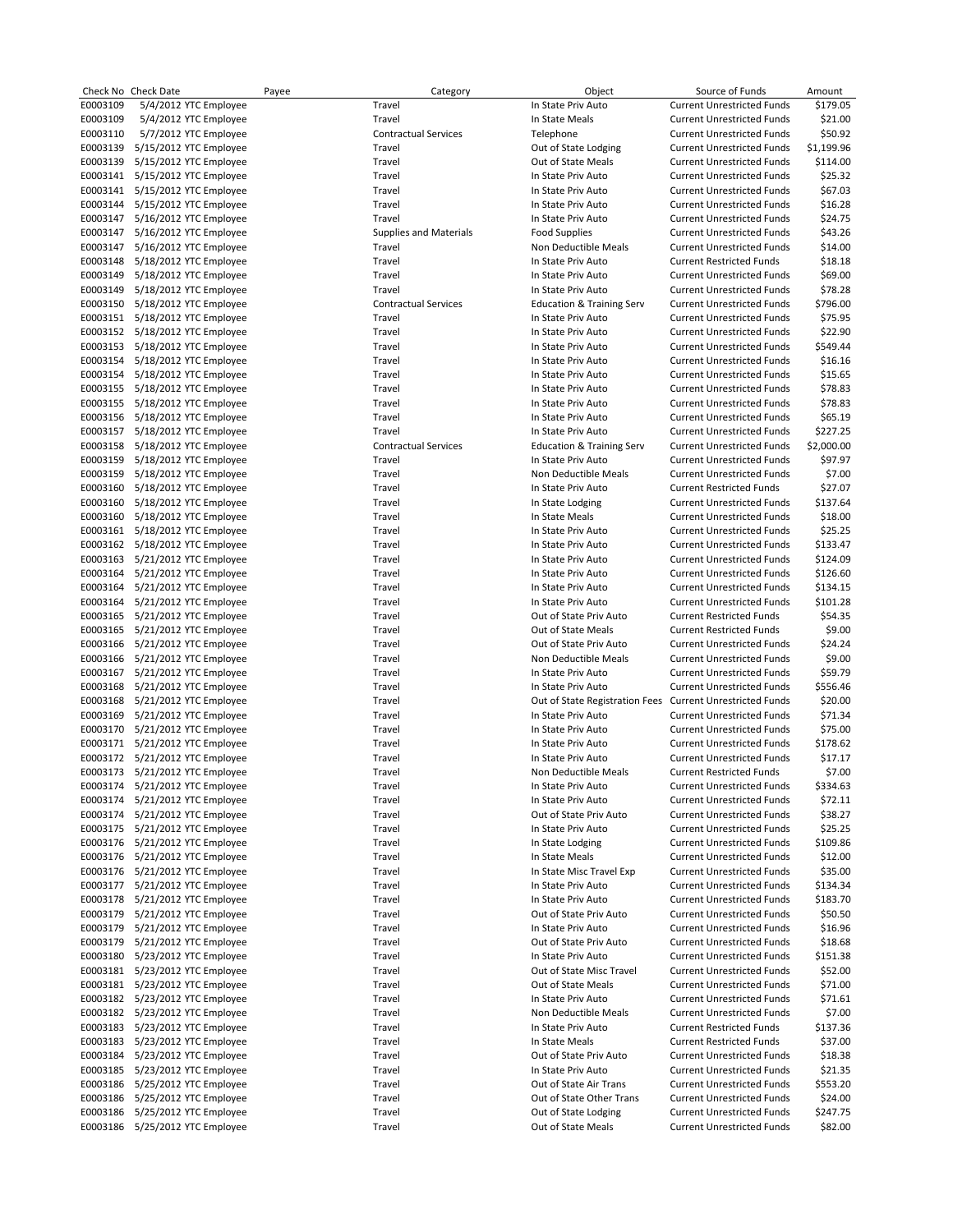|          | Check No Check Date             | Payee | Category                      | Object                                                    | Source of Funds                   | Amount     |
|----------|---------------------------------|-------|-------------------------------|-----------------------------------------------------------|-----------------------------------|------------|
| E0003109 | 5/4/2012 YTC Employee           |       | Travel                        | In State Priv Auto                                        | <b>Current Unrestricted Funds</b> | \$179.05   |
| E0003109 | 5/4/2012 YTC Employee           |       | Travel                        | In State Meals                                            | <b>Current Unrestricted Funds</b> | \$21.00    |
| E0003110 | 5/7/2012 YTC Employee           |       | <b>Contractual Services</b>   | Telephone                                                 | <b>Current Unrestricted Funds</b> | \$50.92    |
| E0003139 | 5/15/2012 YTC Employee          |       | Travel                        | Out of State Lodging                                      | <b>Current Unrestricted Funds</b> | \$1,199.96 |
| E0003139 | 5/15/2012 YTC Employee          |       | Travel                        | Out of State Meals                                        | <b>Current Unrestricted Funds</b> | \$114.00   |
|          | E0003141 5/15/2012 YTC Employee |       | Travel                        | In State Priv Auto                                        | <b>Current Unrestricted Funds</b> | \$25.32    |
| E0003141 | 5/15/2012 YTC Employee          |       | Travel                        | In State Priv Auto                                        | <b>Current Unrestricted Funds</b> | \$67.03    |
|          |                                 |       |                               |                                                           |                                   |            |
| E0003144 | 5/15/2012 YTC Employee          |       | Travel                        | In State Priv Auto                                        | <b>Current Unrestricted Funds</b> | \$16.28    |
| E0003147 | 5/16/2012 YTC Employee          |       | Travel                        | In State Priv Auto                                        | <b>Current Unrestricted Funds</b> | \$24.75    |
| E0003147 | 5/16/2012 YTC Employee          |       | <b>Supplies and Materials</b> | <b>Food Supplies</b>                                      | <b>Current Unrestricted Funds</b> | \$43.26    |
|          | E0003147 5/16/2012 YTC Employee |       | Travel                        | Non Deductible Meals                                      | <b>Current Unrestricted Funds</b> | \$14.00    |
| E0003148 | 5/18/2012 YTC Employee          |       | Travel                        | In State Priv Auto                                        | <b>Current Restricted Funds</b>   | \$18.18    |
| E0003149 | 5/18/2012 YTC Employee          |       | Travel                        | In State Priv Auto                                        | <b>Current Unrestricted Funds</b> | \$69.00    |
| E0003149 | 5/18/2012 YTC Employee          |       | Travel                        | In State Priv Auto                                        | <b>Current Unrestricted Funds</b> | \$78.28    |
|          | E0003150 5/18/2012 YTC Employee |       | <b>Contractual Services</b>   | <b>Education &amp; Training Serv</b>                      | <b>Current Unrestricted Funds</b> | \$796.00   |
|          | E0003151 5/18/2012 YTC Employee |       | Travel                        | In State Priv Auto                                        | <b>Current Unrestricted Funds</b> | \$75.95    |
|          | E0003152 5/18/2012 YTC Employee |       | Travel                        | In State Priv Auto                                        | <b>Current Unrestricted Funds</b> | \$22.90    |
| E0003153 | 5/18/2012 YTC Employee          |       | Travel                        | In State Priv Auto                                        | <b>Current Unrestricted Funds</b> | \$549.44   |
|          | E0003154 5/18/2012 YTC Employee |       | Travel                        | In State Priv Auto                                        | <b>Current Unrestricted Funds</b> | \$16.16    |
| E0003154 | 5/18/2012 YTC Employee          |       | Travel                        | In State Priv Auto                                        | <b>Current Unrestricted Funds</b> | \$15.65    |
|          | E0003155 5/18/2012 YTC Employee |       | Travel                        | In State Priv Auto                                        | <b>Current Unrestricted Funds</b> | \$78.83    |
| E0003155 | 5/18/2012 YTC Employee          |       | Travel                        | In State Priv Auto                                        | <b>Current Unrestricted Funds</b> | \$78.83    |
|          |                                 |       |                               |                                                           |                                   |            |
|          | E0003156 5/18/2012 YTC Employee |       | Travel                        | In State Priv Auto                                        | <b>Current Unrestricted Funds</b> | \$65.19    |
| E0003157 | 5/18/2012 YTC Employee          |       | Travel                        | In State Priv Auto                                        | <b>Current Unrestricted Funds</b> | \$227.25   |
|          | E0003158 5/18/2012 YTC Employee |       | <b>Contractual Services</b>   | <b>Education &amp; Training Serv</b>                      | <b>Current Unrestricted Funds</b> | \$2,000.00 |
| E0003159 | 5/18/2012 YTC Employee          |       | Travel                        | In State Priv Auto                                        | <b>Current Unrestricted Funds</b> | \$97.97    |
| E0003159 | 5/18/2012 YTC Employee          |       | Travel                        | Non Deductible Meals                                      | <b>Current Unrestricted Funds</b> | \$7.00     |
| E0003160 | 5/18/2012 YTC Employee          |       | Travel                        | In State Priv Auto                                        | <b>Current Restricted Funds</b>   | \$27.07    |
| E0003160 | 5/18/2012 YTC Employee          |       | Travel                        | In State Lodging                                          | <b>Current Unrestricted Funds</b> | \$137.64   |
| E0003160 | 5/18/2012 YTC Employee          |       | Travel                        | In State Meals                                            | <b>Current Unrestricted Funds</b> | \$18.00    |
|          | E0003161 5/18/2012 YTC Employee |       | Travel                        | In State Priv Auto                                        | <b>Current Unrestricted Funds</b> | \$25.25    |
|          | E0003162 5/18/2012 YTC Employee |       | Travel                        | In State Priv Auto                                        | <b>Current Unrestricted Funds</b> | \$133.47   |
| E0003163 | 5/21/2012 YTC Employee          |       | Travel                        | In State Priv Auto                                        | <b>Current Unrestricted Funds</b> | \$124.09   |
| E0003164 | 5/21/2012 YTC Employee          |       | Travel                        | In State Priv Auto                                        | <b>Current Unrestricted Funds</b> | \$126.60   |
| E0003164 | 5/21/2012 YTC Employee          |       | Travel                        | In State Priv Auto                                        | <b>Current Unrestricted Funds</b> | \$134.15   |
| E0003164 | 5/21/2012 YTC Employee          |       | Travel                        | In State Priv Auto                                        | <b>Current Unrestricted Funds</b> | \$101.28   |
| E0003165 | 5/21/2012 YTC Employee          |       | Travel                        | Out of State Priv Auto                                    | <b>Current Restricted Funds</b>   | \$54.35    |
|          | E0003165 5/21/2012 YTC Employee |       | Travel                        | Out of State Meals                                        | <b>Current Restricted Funds</b>   | \$9.00     |
| E0003166 | 5/21/2012 YTC Employee          |       | Travel                        | Out of State Priv Auto                                    | <b>Current Unrestricted Funds</b> | \$24.24    |
| E0003166 | 5/21/2012 YTC Employee          |       | Travel                        | Non Deductible Meals                                      | <b>Current Unrestricted Funds</b> | \$9.00     |
| E0003167 | 5/21/2012 YTC Employee          |       | Travel                        | In State Priv Auto                                        | <b>Current Unrestricted Funds</b> | \$59.79    |
| E0003168 | 5/21/2012 YTC Employee          |       | Travel                        | In State Priv Auto                                        | <b>Current Unrestricted Funds</b> | \$556.46   |
| E0003168 | 5/21/2012 YTC Employee          |       | Travel                        | Out of State Registration Fees Current Unrestricted Funds |                                   | \$20.00    |
| E0003169 | 5/21/2012 YTC Employee          |       | Travel                        | In State Priv Auto                                        | <b>Current Unrestricted Funds</b> | \$71.34    |
| E0003170 | 5/21/2012 YTC Employee          |       | Travel                        | In State Priv Auto                                        | <b>Current Unrestricted Funds</b> | \$75.00    |
|          | E0003171 5/21/2012 YTC Employee |       | Travel                        | In State Priv Auto                                        | <b>Current Unrestricted Funds</b> | \$178.62   |
|          | E0003172 5/21/2012 YTC Employee |       | Travel                        | In State Priv Auto                                        | <b>Current Unrestricted Funds</b> | \$17.17    |
|          | E0003173 5/21/2012 YTC Employee |       | Travel                        | Non Deductible Meals                                      | <b>Current Restricted Funds</b>   | \$7.00     |
|          | E0003174 5/21/2012 YTC Employee |       | Travel                        | In State Priv Auto                                        | <b>Current Unrestricted Funds</b> | \$334.63   |
|          |                                 |       |                               |                                                           | <b>Current Unrestricted Funds</b> |            |
|          | E0003174 5/21/2012 YTC Employee |       | Travel                        | In State Priv Auto                                        |                                   | \$72.11    |
| E0003174 | 5/21/2012 YTC Employee          |       | Travel                        | Out of State Priv Auto                                    | <b>Current Unrestricted Funds</b> | \$38.27    |
| E0003175 | 5/21/2012 YTC Employee          |       | Travel                        | In State Priv Auto                                        | <b>Current Unrestricted Funds</b> | \$25.25    |
| E0003176 | 5/21/2012 YTC Employee          |       | Travel                        | In State Lodging                                          | <b>Current Unrestricted Funds</b> | \$109.86   |
| E0003176 | 5/21/2012 YTC Employee          |       | Travel                        | In State Meals                                            | <b>Current Unrestricted Funds</b> | \$12.00    |
| E0003176 | 5/21/2012 YTC Employee          |       | Travel                        | In State Misc Travel Exp                                  | <b>Current Unrestricted Funds</b> | \$35.00    |
| E0003177 | 5/21/2012 YTC Employee          |       | Travel                        | In State Priv Auto                                        | <b>Current Unrestricted Funds</b> | \$134.34   |
| E0003178 | 5/21/2012 YTC Employee          |       | Travel                        | In State Priv Auto                                        | <b>Current Unrestricted Funds</b> | \$183.70   |
| E0003179 | 5/21/2012 YTC Employee          |       | Travel                        | Out of State Priv Auto                                    | <b>Current Unrestricted Funds</b> | \$50.50    |
| E0003179 | 5/21/2012 YTC Employee          |       | Travel                        | In State Priv Auto                                        | <b>Current Unrestricted Funds</b> | \$16.96    |
| E0003179 | 5/21/2012 YTC Employee          |       | Travel                        | Out of State Priv Auto                                    | <b>Current Unrestricted Funds</b> | \$18.68    |
| E0003180 | 5/23/2012 YTC Employee          |       | Travel                        | In State Priv Auto                                        | <b>Current Unrestricted Funds</b> | \$151.38   |
| E0003181 | 5/23/2012 YTC Employee          |       | Travel                        | Out of State Misc Travel                                  | <b>Current Unrestricted Funds</b> | \$52.00    |
|          | E0003181 5/23/2012 YTC Employee |       | Travel                        | Out of State Meals                                        | <b>Current Unrestricted Funds</b> | \$71.00    |
|          | E0003182 5/23/2012 YTC Employee |       | Travel                        | In State Priv Auto                                        | <b>Current Unrestricted Funds</b> | \$71.61    |
|          | E0003182 5/23/2012 YTC Employee |       | Travel                        | Non Deductible Meals                                      | <b>Current Unrestricted Funds</b> | \$7.00     |
| E0003183 | 5/23/2012 YTC Employee          |       | Travel                        | In State Priv Auto                                        | <b>Current Restricted Funds</b>   | \$137.36   |
| E0003183 | 5/23/2012 YTC Employee          |       | Travel                        | In State Meals                                            | <b>Current Restricted Funds</b>   | \$37.00    |
| E0003184 | 5/23/2012 YTC Employee          |       | Travel                        | Out of State Priv Auto                                    | <b>Current Unrestricted Funds</b> | \$18.38    |
| E0003185 | 5/23/2012 YTC Employee          |       | Travel                        | In State Priv Auto                                        | <b>Current Unrestricted Funds</b> | \$21.35    |
| E0003186 | 5/25/2012 YTC Employee          |       | Travel                        | Out of State Air Trans                                    | <b>Current Unrestricted Funds</b> | \$553.20   |
| E0003186 | 5/25/2012 YTC Employee          |       | Travel                        | Out of State Other Trans                                  | <b>Current Unrestricted Funds</b> | \$24.00    |
| E0003186 | 5/25/2012 YTC Employee          |       | Travel                        | Out of State Lodging                                      | <b>Current Unrestricted Funds</b> | \$247.75   |
| E0003186 | 5/25/2012 YTC Employee          |       | Travel                        | Out of State Meals                                        | <b>Current Unrestricted Funds</b> | \$82.00    |